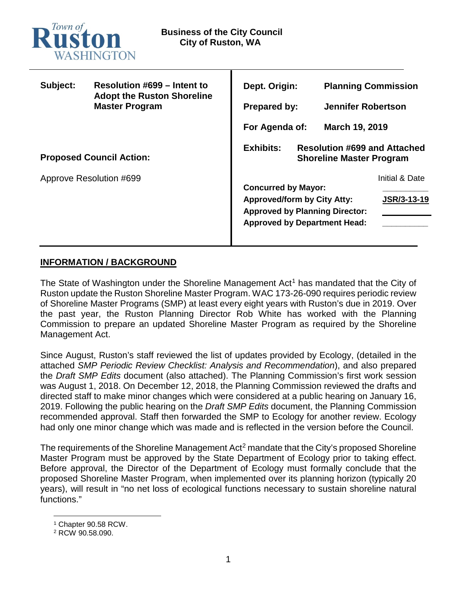

| Subject:                        | Resolution #699 – Intent to<br><b>Adopt the Ruston Shoreline</b><br><b>Master Program</b> | Dept. Origin:                                                                              | <b>Planning Commission</b> |
|---------------------------------|-------------------------------------------------------------------------------------------|--------------------------------------------------------------------------------------------|----------------------------|
|                                 |                                                                                           | <b>Prepared by:</b>                                                                        | <b>Jennifer Robertson</b>  |
|                                 |                                                                                           | For Agenda of:                                                                             | March 19, 2019             |
| <b>Proposed Council Action:</b> |                                                                                           | <b>Exhibits:</b><br><b>Resolution #699 and Attached</b><br><b>Shoreline Master Program</b> |                            |
| Approve Resolution #699         |                                                                                           | <b>Concurred by Mayor:</b>                                                                 | Initial & Date             |
|                                 |                                                                                           | <b>Approved/form by City Atty:</b>                                                         | JSR/3-13-19                |
|                                 |                                                                                           | <b>Approved by Planning Director:</b><br><b>Approved by Department Head:</b>               |                            |
|                                 |                                                                                           |                                                                                            |                            |

# **INFORMATION / BACKGROUND**

The State of Washington under the Shoreline Management Act<sup>[1](#page-0-0)</sup> has mandated that the City of Ruston update the Ruston Shoreline Master Program. WAC 173-26-090 requires periodic review of Shoreline Master Programs (SMP) at least every eight years with Ruston's due in 2019. Over the past year, the Ruston Planning Director Rob White has worked with the Planning Commission to prepare an updated Shoreline Master Program as required by the Shoreline Management Act.

Since August, Ruston's staff reviewed the list of updates provided by Ecology, (detailed in the attached *SMP Periodic Review Checklist: Analysis and Recommendation*), and also prepared the *Draft SMP Edits* document (also attached). The Planning Commission's first work session was August 1, 2018. On December 12, 2018, the Planning Commission reviewed the drafts and directed staff to make minor changes which were considered at a public hearing on January 16, 2019. Following the public hearing on the *Draft SMP Edits* document, the Planning Commission recommended approval. Staff then forwarded the SMP to Ecology for another review. Ecology had only one minor change which was made and is reflected in the version before the Council.

The requirements of the Shoreline Management Act<sup>[2](#page-0-1)</sup> mandate that the City's proposed Shoreline Master Program must be approved by the State Department of Ecology prior to taking effect. Before approval, the Director of the Department of Ecology must formally conclude that the proposed Shoreline Master Program, when implemented over its planning horizon (typically 20 years), will result in "no net loss of ecological functions necessary to sustain shoreline natural functions."

 <sup>1</sup> Chapter 90.58 RCW.

<span id="page-0-1"></span><span id="page-0-0"></span><sup>2</sup> RCW 90.58.090.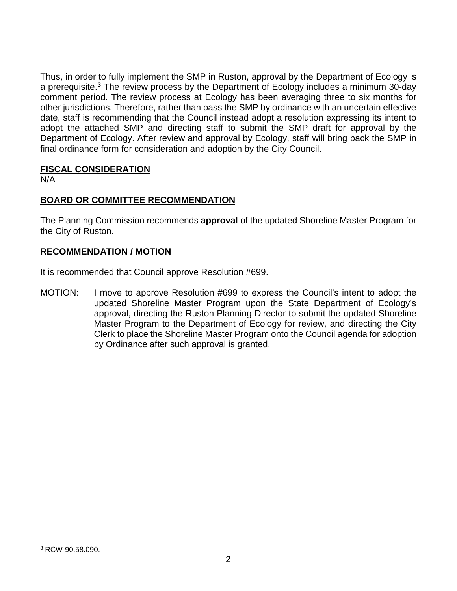Thus, in order to fully implement the SMP in Ruston, approval by the Department of Ecology is a prerequisite.[3](#page-1-0) The review process by the Department of Ecology includes a minimum 30-day comment period. The review process at Ecology has been averaging three to six months for other jurisdictions. Therefore, rather than pass the SMP by ordinance with an uncertain effective date, staff is recommending that the Council instead adopt a resolution expressing its intent to adopt the attached SMP and directing staff to submit the SMP draft for approval by the Department of Ecology. After review and approval by Ecology, staff will bring back the SMP in final ordinance form for consideration and adoption by the City Council.

# **FISCAL CONSIDERATION**

N/A

# **BOARD OR COMMITTEE RECOMMENDATION**

The Planning Commission recommends **approval** of the updated Shoreline Master Program for the City of Ruston.

# **RECOMMENDATION / MOTION**

It is recommended that Council approve Resolution #699.

MOTION: I move to approve Resolution #699 to express the Council's intent to adopt the updated Shoreline Master Program upon the State Department of Ecology's approval, directing the Ruston Planning Director to submit the updated Shoreline Master Program to the Department of Ecology for review, and directing the City Clerk to place the Shoreline Master Program onto the Council agenda for adoption by Ordinance after such approval is granted.

<span id="page-1-0"></span> <sup>3</sup> RCW 90.58.090.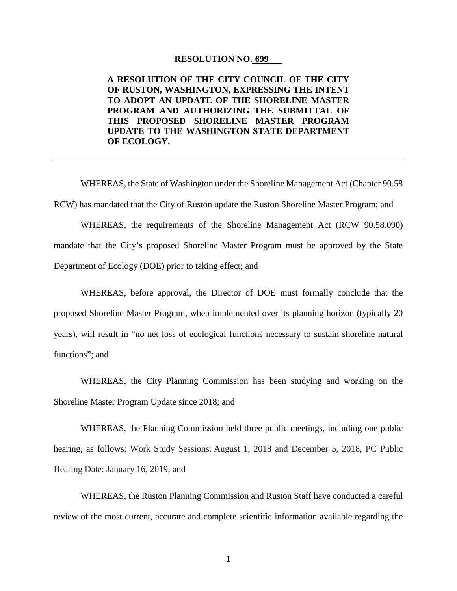#### **RESOLUTION NO. 699**

# **A RESOLUTION OF THE CITY COUNCIL OF THE CITY OF RUSTON, WASHINGTON, EXPRESSING THE INTENT TO ADOPT AN UPDATE OF THE SHORELINE MASTER PROGRAM AND AUTHORIZING THE SUBMITTAL OF THIS PROPOSED SHORELINE MASTER PROGRAM UPDATE TO THE WASHINGTON STATE DEPARTMENT OF ECOLOGY.**

WHEREAS, the State of Washington under the Shoreline Management Act (Chapter 90.58 RCW) has mandated that the City of Ruston update the Ruston Shoreline Master Program; and

WHEREAS, the requirements of the Shoreline Management Act (RCW 90.58.090) mandate that the City's proposed Shoreline Master Program must be approved by the State Department of Ecology (DOE) prior to taking effect; and

WHEREAS, before approval, the Director of DOE must formally conclude that the proposed Shoreline Master Program, when implemented over its planning horizon (typically 20 years), will result in "no net loss of ecological functions necessary to sustain shoreline natural functions"; and

WHEREAS, the City Planning Commission has been studying and working on the Shoreline Master Program Update since 2018; and

WHEREAS, the Planning Commission held three public meetings, including one public hearing, as follows: Work Study Sessions: August 1, 2018 and December 5, 2018, PC Public Hearing Date: January 16, 2019; and

WHEREAS, the Ruston Planning Commission and Ruston Staff have conducted a careful review of the most current, accurate and complete scientific information available regarding the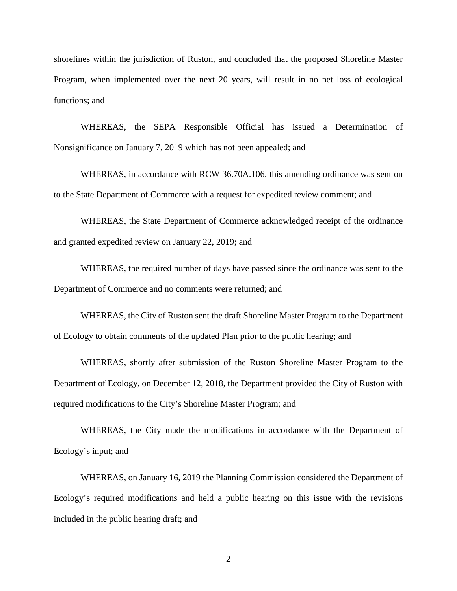shorelines within the jurisdiction of Ruston, and concluded that the proposed Shoreline Master Program, when implemented over the next 20 years, will result in no net loss of ecological functions; and

WHEREAS, the SEPA Responsible Official has issued a Determination of Nonsignificance on January 7, 2019 which has not been appealed; and

WHEREAS, in accordance with RCW 36.70A.106, this amending ordinance was sent on to the State Department of Commerce with a request for expedited review comment; and

WHEREAS, the State Department of Commerce acknowledged receipt of the ordinance and granted expedited review on January 22, 2019; and

WHEREAS, the required number of days have passed since the ordinance was sent to the Department of Commerce and no comments were returned; and

WHEREAS, the City of Ruston sent the draft Shoreline Master Program to the Department of Ecology to obtain comments of the updated Plan prior to the public hearing; and

WHEREAS, shortly after submission of the Ruston Shoreline Master Program to the Department of Ecology, on December 12, 2018, the Department provided the City of Ruston with required modifications to the City's Shoreline Master Program; and

WHEREAS, the City made the modifications in accordance with the Department of Ecology's input; and

WHEREAS, on January 16, 2019 the Planning Commission considered the Department of Ecology's required modifications and held a public hearing on this issue with the revisions included in the public hearing draft; and

2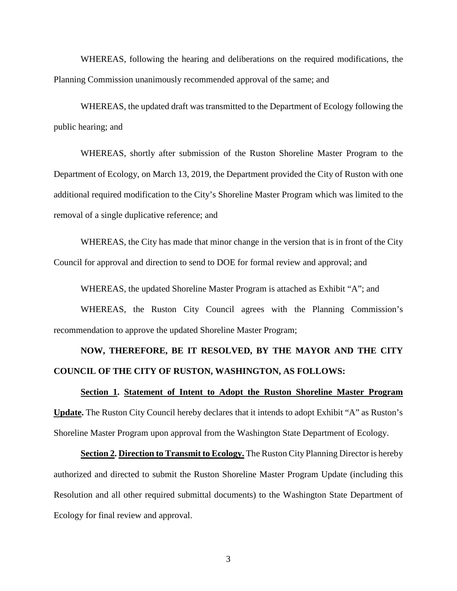WHEREAS, following the hearing and deliberations on the required modifications, the Planning Commission unanimously recommended approval of the same; and

WHEREAS, the updated draft was transmitted to the Department of Ecology following the public hearing; and

WHEREAS, shortly after submission of the Ruston Shoreline Master Program to the Department of Ecology, on March 13, 2019, the Department provided the City of Ruston with one additional required modification to the City's Shoreline Master Program which was limited to the removal of a single duplicative reference; and

WHEREAS, the City has made that minor change in the version that is in front of the City Council for approval and direction to send to DOE for formal review and approval; and

WHEREAS, the updated Shoreline Master Program is attached as Exhibit "A"; and

WHEREAS, the Ruston City Council agrees with the Planning Commission's recommendation to approve the updated Shoreline Master Program;

# **NOW, THEREFORE, BE IT RESOLVED, BY THE MAYOR AND THE CITY COUNCIL OF THE CITY OF RUSTON, WASHINGTON, AS FOLLOWS:**

**Section 1. Statement of Intent to Adopt the Ruston Shoreline Master Program Update.** The Ruston City Council hereby declares that it intends to adopt Exhibit "A" as Ruston's Shoreline Master Program upon approval from the Washington State Department of Ecology.

**Section 2. Direction to Transmit to Ecology.** The Ruston City Planning Director is hereby authorized and directed to submit the Ruston Shoreline Master Program Update (including this Resolution and all other required submittal documents) to the Washington State Department of Ecology for final review and approval.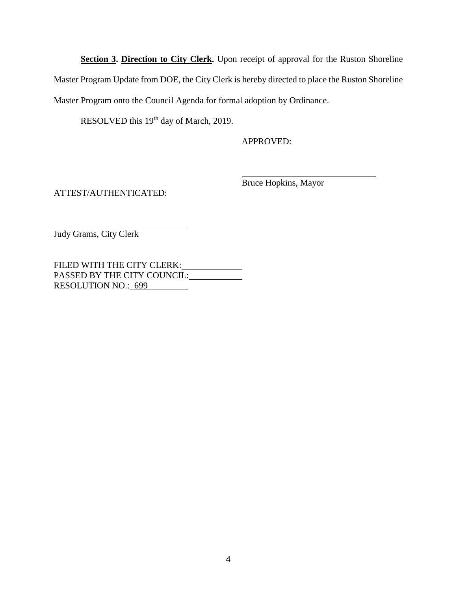**Section 3. Direction to City Clerk.** Upon receipt of approval for the Ruston Shoreline Master Program Update from DOE, the City Clerk is hereby directed to place the Ruston Shoreline Master Program onto the Council Agenda for formal adoption by Ordinance.

RESOLVED this 19<sup>th</sup> day of March, 2019.

APPROVED:

ATTEST/AUTHENTICATED:

Bruce Hopkins, Mayor

Judy Grams, City Clerk

FILED WITH THE CITY CLERK: PASSED BY THE CITY COUNCIL: RESOLUTION NO.: 699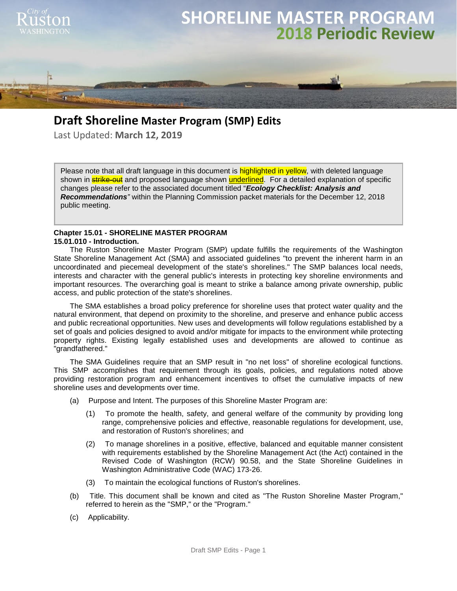

# **Draft Shoreline Master Program (SMP) Edits**

Last Updated: **March 12, 2019**

Please note that all draft language in this document is highlighted in yellow, with deleted language shown in **strike-out** and proposed language shown **underlined**. For a detailed explanation of specific changes please refer to the associated document titled "*Ecology Checklist: Analysis and Recommendations"* within the Planning Commission packet materials for the December 12, 2018 public meeting.

#### **Chapter 15.01 - SHORELINE MASTER PROGRAM 15.01.010 - Introduction.**

The Ruston Shoreline Master Program (SMP) update fulfills the requirements of the Washington State Shoreline Management Act (SMA) and associated guidelines "to prevent the inherent harm in an uncoordinated and piecemeal development of the state's shorelines." The SMP balances local needs, interests and character with the general public's interests in protecting key shoreline environments and important resources. The overarching goal is meant to strike a balance among private ownership, public access, and public protection of the state's shorelines.

The SMA establishes a broad policy preference for shoreline uses that protect water quality and the natural environment, that depend on proximity to the shoreline, and preserve and enhance public access and public recreational opportunities. New uses and developments will follow regulations established by a set of goals and policies designed to avoid and/or mitigate for impacts to the environment while protecting property rights. Existing legally established uses and developments are allowed to continue as "grandfathered."

The SMA Guidelines require that an SMP result in "no net loss" of shoreline ecological functions. This SMP accomplishes that requirement through its goals, policies, and regulations noted above providing restoration program and enhancement incentives to offset the cumulative impacts of new shoreline uses and developments over time.

- (a) Purpose and Intent. The purposes of this Shoreline Master Program are:
	- (1) To promote the health, safety, and general welfare of the community by providing long range, comprehensive policies and effective, reasonable regulations for development, use, and restoration of Ruston's shorelines; and
	- (2) To manage shorelines in a positive, effective, balanced and equitable manner consistent with requirements established by the Shoreline Management Act (the Act) contained in the Revised Code of Washington (RCW) 90.58, and the State Shoreline Guidelines in Washington Administrative Code (WAC) 173-26.
	- (3) To maintain the ecological functions of Ruston's shorelines.
- (b) Title. This document shall be known and cited as "The Ruston Shoreline Master Program," referred to herein as the "SMP," or the "Program."
- (c) Applicability.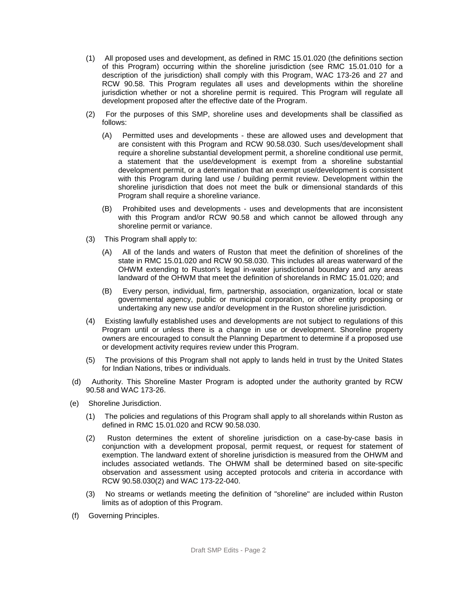- (1) All proposed uses and development, as defined in RMC 15.01.020 (the definitions section of this Program) occurring within the shoreline jurisdiction (see RMC 15.01.010 for a description of the jurisdiction) shall comply with this Program, WAC 173-26 and 27 and RCW 90.58. This Program regulates all uses and developments within the shoreline jurisdiction whether or not a shoreline permit is required. This Program will regulate all development proposed after the effective date of the Program.
- (2) For the purposes of this SMP, shoreline uses and developments shall be classified as follows:
	- (A) Permitted uses and developments these are allowed uses and development that are consistent with this Program and RCW 90.58.030. Such uses/development shall require a shoreline substantial development permit, a shoreline conditional use permit, a statement that the use/development is exempt from a shoreline substantial development permit, or a determination that an exempt use/development is consistent with this Program during land use / building permit review. Development within the shoreline jurisdiction that does not meet the bulk or dimensional standards of this Program shall require a shoreline variance.
	- (B) Prohibited uses and developments uses and developments that are inconsistent with this Program and/or RCW 90.58 and which cannot be allowed through any shoreline permit or variance.
- (3) This Program shall apply to:
	- (A) All of the lands and waters of Ruston that meet the definition of shorelines of the state in RMC 15.01.020 and RCW 90.58.030. This includes all areas waterward of the OHWM extending to Ruston's legal in-water jurisdictional boundary and any areas landward of the OHWM that meet the definition of shorelands in RMC 15.01.020; and
	- (B) Every person, individual, firm, partnership, association, organization, local or state governmental agency, public or municipal corporation, or other entity proposing or undertaking any new use and/or development in the Ruston shoreline jurisdiction.
- (4) Existing lawfully established uses and developments are not subject to regulations of this Program until or unless there is a change in use or development. Shoreline property owners are encouraged to consult the Planning Department to determine if a proposed use or development activity requires review under this Program.
- (5) The provisions of this Program shall not apply to lands held in trust by the United States for Indian Nations, tribes or individuals.
- (d) Authority. This Shoreline Master Program is adopted under the authority granted by RCW 90.58 and WAC 173-26.
- (e) Shoreline Jurisdiction.
	- (1) The policies and regulations of this Program shall apply to all shorelands within Ruston as defined in RMC 15.01.020 and RCW 90.58.030.
	- (2) Ruston determines the extent of shoreline jurisdiction on a case-by-case basis in conjunction with a development proposal, permit request, or request for statement of exemption. The landward extent of shoreline jurisdiction is measured from the OHWM and includes associated wetlands. The OHWM shall be determined based on site-specific observation and assessment using accepted protocols and criteria in accordance with RCW 90.58.030(2) and WAC 173-22-040.
	- (3) No streams or wetlands meeting the definition of "shoreline" are included within Ruston limits as of adoption of this Program.
- (f) Governing Principles.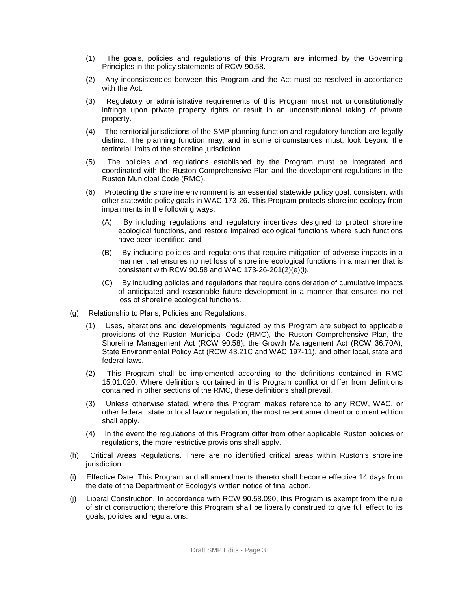- (1) The goals, policies and regulations of this Program are informed by the Governing Principles in the policy statements of RCW 90.58.
- (2) Any inconsistencies between this Program and the Act must be resolved in accordance with the Act.
- (3) Regulatory or administrative requirements of this Program must not unconstitutionally infringe upon private property rights or result in an unconstitutional taking of private property.
- (4) The territorial jurisdictions of the SMP planning function and regulatory function are legally distinct. The planning function may, and in some circumstances must, look beyond the territorial limits of the shoreline jurisdiction.
- (5) The policies and regulations established by the Program must be integrated and coordinated with the Ruston Comprehensive Plan and the development regulations in the Ruston Municipal Code (RMC).
- (6) Protecting the shoreline environment is an essential statewide policy goal, consistent with other statewide policy goals in WAC 173-26. This Program protects shoreline ecology from impairments in the following ways:
	- (A) By including regulations and regulatory incentives designed to protect shoreline ecological functions, and restore impaired ecological functions where such functions have been identified; and
	- (B) By including policies and regulations that require mitigation of adverse impacts in a manner that ensures no net loss of shoreline ecological functions in a manner that is consistent with RCW 90.58 and WAC 173-26-201(2)(e)(i).
	- (C) By including policies and regulations that require consideration of cumulative impacts of anticipated and reasonable future development in a manner that ensures no net loss of shoreline ecological functions.
- (g) Relationship to Plans, Policies and Regulations.
	- (1) Uses, alterations and developments regulated by this Program are subject to applicable provisions of the Ruston Municipal Code (RMC), the Ruston Comprehensive Plan, the Shoreline Management Act (RCW 90.58), the Growth Management Act (RCW 36.70A), State Environmental Policy Act (RCW 43.21C and WAC 197-11), and other local, state and federal laws.
	- (2) This Program shall be implemented according to the definitions contained in RMC 15.01.020. Where definitions contained in this Program conflict or differ from definitions contained in other sections of the RMC, these definitions shall prevail.
	- (3) Unless otherwise stated, where this Program makes reference to any RCW, WAC, or other federal, state or local law or regulation, the most recent amendment or current edition shall apply.
	- (4) In the event the regulations of this Program differ from other applicable Ruston policies or regulations, the more restrictive provisions shall apply.
- (h) Critical Areas Regulations. There are no identified critical areas within Ruston's shoreline jurisdiction.
- (i) Effective Date. This Program and all amendments thereto shall become effective 14 days from the date of the Department of Ecology's written notice of final action.
- (j) Liberal Construction. In accordance with RCW 90.58.090, this Program is exempt from the rule of strict construction; therefore this Program shall be liberally construed to give full effect to its goals, policies and regulations.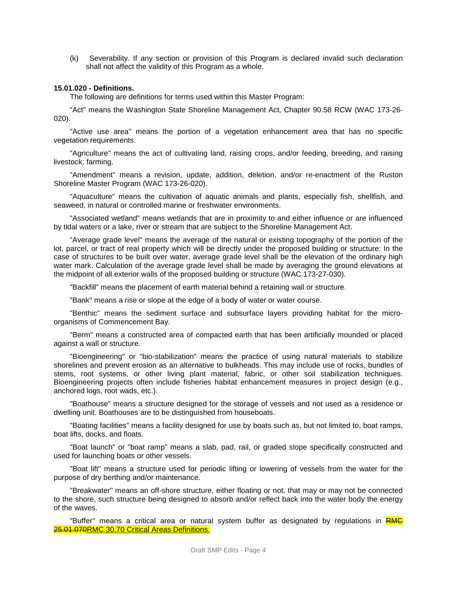(k) Severability. If any section or provision of this Program is declared invalid such declaration shall not affect the validity of this Program as a whole.

#### **15.01.020 - Definitions.**

The following are definitions for terms used within this Master Program:

"Act" means the Washington State Shoreline Management Act, Chapter 90.58 RCW (WAC 173-26- 020).

"Active use area" means the portion of a vegetation enhancement area that has no specific vegetation requirements.

"Agriculture" means the act of cultivating land, raising crops, and/or feeding, breeding, and raising livestock; farming.

"Amendment" means a revision, update, addition, deletion, and/or re-enactment of the Ruston Shoreline Master Program (WAC 173-26-020).

"Aquaculture" means the cultivation of aquatic animals and plants, especially fish, shellfish, and seaweed, in natural or controlled marine or freshwater environments.

"Associated wetland" means wetlands that are in proximity to and either influence or are influenced by tidal waters or a lake, river or stream that are subject to the Shoreline Management Act.

"Average grade level" means the average of the natural or existing topography of the portion of the lot, parcel, or tract of real property which will be directly under the proposed building or structure: In the case of structures to be built over water, average grade level shall be the elevation of the ordinary high water mark. Calculation of the average grade level shall be made by averaging the ground elevations at the midpoint of all exterior walls of the proposed building or structure (WAC 173-27-030).

"Backfill" means the placement of earth material behind a retaining wall or structure.

"Bank" means a rise or slope at the edge of a body of water or water course.

"Benthic" means the sediment surface and subsurface layers providing habitat for the microorganisms of Commencement Bay.

"Berm" means a constructed area of compacted earth that has been artificially mounded or placed against a wall or structure.

"Bioengineering" or "bio-stabilization" means the practice of using natural materials to stabilize shorelines and prevent erosion as an alternative to bulkheads. This may include use of rocks, bundles of stems, root systems, or other living plant material, fabric, or other soil stabilization techniques. Bioengineering projects often include fisheries habitat enhancement measures in project design (e.g., anchored logs, root wads, etc.).

"Boathouse" means a structure designed for the storage of vessels and not used as a residence or dwelling unit. Boathouses are to be distinguished from houseboats.

"Boating facilities" means a facility designed for use by boats such as, but not limited to, boat ramps, boat lifts, docks, and floats.

"Boat launch" or "boat ramp" means a slab, pad, rail, or graded slope specifically constructed and used for launching boats or other vessels.

"Boat lift" means a structure used for periodic lifting or lowering of vessels from the water for the purpose of dry berthing and/or maintenance.

"Breakwater" means an off-shore structure, either floating or not, that may or may not be connected to the shore, such structure being designed to absorb and/or reflect back into the water body the energy of the waves.

"Buffer" means a critical area or natural system buffer as designated by regulations in RMC 25.01.070RMC 30.70 Critical Areas Definitions.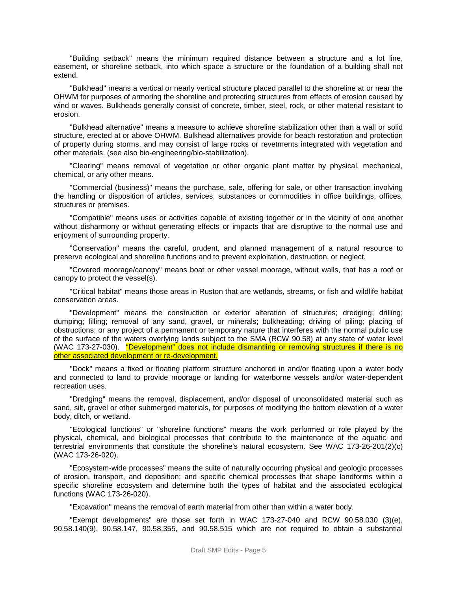"Building setback" means the minimum required distance between a structure and a lot line, easement, or shoreline setback, into which space a structure or the foundation of a building shall not extend.

"Bulkhead" means a vertical or nearly vertical structure placed parallel to the shoreline at or near the OHWM for purposes of armoring the shoreline and protecting structures from effects of erosion caused by wind or waves. Bulkheads generally consist of concrete, timber, steel, rock, or other material resistant to erosion.

"Bulkhead alternative" means a measure to achieve shoreline stabilization other than a wall or solid structure, erected at or above OHWM. Bulkhead alternatives provide for beach restoration and protection of property during storms, and may consist of large rocks or revetments integrated with vegetation and other materials. (see also bio-engineering/bio-stabilization).

"Clearing" means removal of vegetation or other organic plant matter by physical, mechanical, chemical, or any other means.

"Commercial (business)" means the purchase, sale, offering for sale, or other transaction involving the handling or disposition of articles, services, substances or commodities in office buildings, offices, structures or premises.

"Compatible" means uses or activities capable of existing together or in the vicinity of one another without disharmony or without generating effects or impacts that are disruptive to the normal use and enjoyment of surrounding property.

"Conservation" means the careful, prudent, and planned management of a natural resource to preserve ecological and shoreline functions and to prevent exploitation, destruction, or neglect.

"Covered moorage/canopy" means boat or other vessel moorage, without walls, that has a roof or canopy to protect the vessel(s).

"Critical habitat" means those areas in Ruston that are wetlands, streams, or fish and wildlife habitat conservation areas.

"Development" means the construction or exterior alteration of structures; dredging; drilling; dumping; filling; removal of any sand, gravel, or minerals; bulkheading; driving of piling; placing of obstructions; or any project of a permanent or temporary nature that interferes with the normal public use of the surface of the waters overlying lands subject to the SMA (RCW 90.58) at any state of water level (WAC 173-27-030). "Development" does not include dismantling or removing structures if there is no other associated development or re-development.

"Dock" means a fixed or floating platform structure anchored in and/or floating upon a water body and connected to land to provide moorage or landing for waterborne vessels and/or water-dependent recreation uses.

"Dredging" means the removal, displacement, and/or disposal of unconsolidated material such as sand, silt, gravel or other submerged materials, for purposes of modifying the bottom elevation of a water body, ditch, or wetland.

"Ecological functions" or "shoreline functions" means the work performed or role played by the physical, chemical, and biological processes that contribute to the maintenance of the aquatic and terrestrial environments that constitute the shoreline's natural ecosystem. See WAC 173-26-201(2)(c) (WAC 173-26-020).

"Ecosystem-wide processes" means the suite of naturally occurring physical and geologic processes of erosion, transport, and deposition; and specific chemical processes that shape landforms within a specific shoreline ecosystem and determine both the types of habitat and the associated ecological functions (WAC 173-26-020).

"Excavation" means the removal of earth material from other than within a water body.

"Exempt developments" are those set forth in WAC 173-27-040 and RCW 90.58.030 (3)(e), 90.58.140(9), 90.58.147, 90.58.355, and 90.58.515 which are not required to obtain a substantial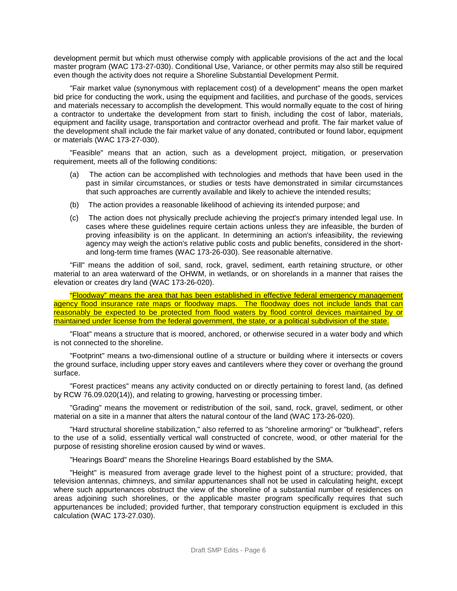development permit but which must otherwise comply with applicable provisions of the act and the local master program (WAC 173-27-030). Conditional Use, Variance, or other permits may also still be required even though the activity does not require a Shoreline Substantial Development Permit.

"Fair market value (synonymous with replacement cost) of a development" means the open market bid price for conducting the work, using the equipment and facilities, and purchase of the goods, services and materials necessary to accomplish the development. This would normally equate to the cost of hiring a contractor to undertake the development from start to finish, including the cost of labor, materials, equipment and facility usage, transportation and contractor overhead and profit. The fair market value of the development shall include the fair market value of any donated, contributed or found labor, equipment or materials (WAC 173-27-030).

"Feasible" means that an action, such as a development project, mitigation, or preservation requirement, meets all of the following conditions:

- (a) The action can be accomplished with technologies and methods that have been used in the past in similar circumstances, or studies or tests have demonstrated in similar circumstances that such approaches are currently available and likely to achieve the intended results;
- (b) The action provides a reasonable likelihood of achieving its intended purpose; and
- (c) The action does not physically preclude achieving the project's primary intended legal use. In cases where these guidelines require certain actions unless they are infeasible, the burden of proving infeasibility is on the applicant. In determining an action's infeasibility, the reviewing agency may weigh the action's relative public costs and public benefits, considered in the shortand long-term time frames (WAC 173-26-030). See reasonable alternative.

"Fill" means the addition of soil, sand, rock, gravel, sediment, earth retaining structure, or other material to an area waterward of the OHWM, in wetlands, or on shorelands in a manner that raises the elevation or creates dry land (WAC 173-26-020).

"Floodway" means the area that has been established in effective federal emergency management agency flood insurance rate maps or floodway maps. The floodway does not include lands that can reasonably be expected to be protected from flood waters by flood control devices maintained by or maintained under license from the federal government, the state, or a political subdivision of the state.

"Float" means a structure that is moored, anchored, or otherwise secured in a water body and which is not connected to the shoreline.

"Footprint" means a two-dimensional outline of a structure or building where it intersects or covers the ground surface, including upper story eaves and cantilevers where they cover or overhang the ground surface.

"Forest practices" means any activity conducted on or directly pertaining to forest land, (as defined by RCW 76.09.020(14)), and relating to growing, harvesting or processing timber.

"Grading" means the movement or redistribution of the soil, sand, rock, gravel, sediment, or other material on a site in a manner that alters the natural contour of the land (WAC 173-26-020).

"Hard structural shoreline stabilization," also referred to as "shoreline armoring" or "bulkhead", refers to the use of a solid, essentially vertical wall constructed of concrete, wood, or other material for the purpose of resisting shoreline erosion caused by wind or waves.

"Hearings Board" means the Shoreline Hearings Board established by the SMA.

"Height" is measured from average grade level to the highest point of a structure; provided, that television antennas, chimneys, and similar appurtenances shall not be used in calculating height, except where such appurtenances obstruct the view of the shoreline of a substantial number of residences on areas adjoining such shorelines, or the applicable master program specifically requires that such appurtenances be included; provided further, that temporary construction equipment is excluded in this calculation (WAC 173-27.030).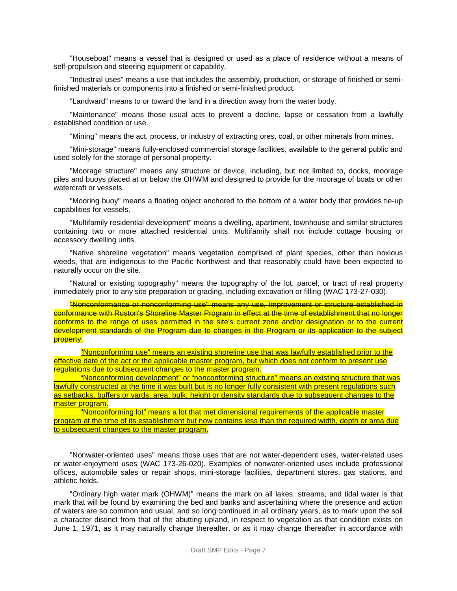"Houseboat" means a vessel that is designed or used as a place of residence without a means of self-propulsion and steering equipment or capability.

"Industrial uses" means a use that includes the assembly, production, or storage of finished or semifinished materials or components into a finished or semi-finished product.

"Landward" means to or toward the land in a direction away from the water body.

"Maintenance" means those usual acts to prevent a decline, lapse or cessation from a lawfully established condition or use.

"Mining" means the act, process, or industry of extracting ores, coal, or other minerals from mines.

"Mini-storage" means fully-enclosed commercial storage facilities, available to the general public and used solely for the storage of personal property.

"Moorage structure" means any structure or device, including, but not limited to, docks, moorage piles and buoys placed at or below the OHWM and designed to provide for the moorage of boats or other watercraft or vessels.

"Mooring buoy" means a floating object anchored to the bottom of a water body that provides tie-up capabilities for vessels.

"Multifamily residential development" means a dwelling, apartment, townhouse and similar structures containing two or more attached residential units. Multifamily shall not include cottage housing or accessory dwelling units.

"Native shoreline vegetation" means vegetation comprised of plant species, other than noxious weeds, that are indigenous to the Pacific Northwest and that reasonably could have been expected to naturally occur on the site.

"Natural or existing topography" means the topography of the lot, parcel, or tract of real property immediately prior to any site preparation or grading, including excavation or filling (WAC 173-27-030).

"Nonconformance or nonconforming use" means any use, improvement or structure established in conformance with Ruston's Shoreline Master Program in effect at the time of establishment that no longer conforms to the range of uses permitted in the site's current zone and/or designation or to the current development standards of the Program due to changes in the Program or its application to the subject property.

"Nonconforming use" means an existing shoreline use that was lawfully established prior to the effective date of the act or the applicable master program, but which does not conform to present use regulations due to subsequent changes to the master program.

"Nonconforming development" or "nonconforming structure" means an existing structure that was lawfully constructed at the time it was built but is no longer fully consistent with present regulations such as setbacks, buffers or yards; area; bulk; height or density standards due to subsequent changes to the master program.

"Nonconforming lot" means a lot that met dimensional requirements of the applicable master program at the time of its establishment but now contains less than the required width, depth or area due to subsequent changes to the master program.

"Nonwater-oriented uses" means those uses that are not water-dependent uses, water-related uses or water-enjoyment uses (WAC 173-26-020). Examples of nonwater-oriented uses include professional offices, automobile sales or repair shops, mini-storage facilities, department stores, gas stations, and athletic fields.

"Ordinary high water mark (OHWM)" means the mark on all lakes, streams, and tidal water is that mark that will be found by examining the bed and banks and ascertaining where the presence and action of waters are so common and usual, and so long continued in all ordinary years, as to mark upon the soil a character distinct from that of the abutting upland, in respect to vegetation as that condition exists on June 1, 1971, as it may naturally change thereafter, or as it may change thereafter in accordance with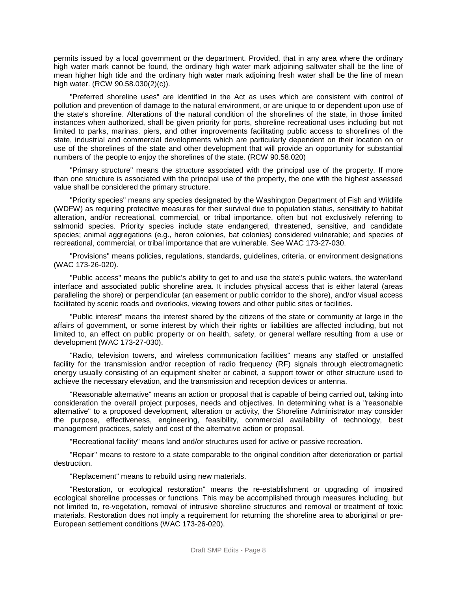permits issued by a local government or the department. Provided, that in any area where the ordinary high water mark cannot be found, the ordinary high water mark adjoining saltwater shall be the line of mean higher high tide and the ordinary high water mark adjoining fresh water shall be the line of mean high water. (RCW 90.58.030(2)(c)).

"Preferred shoreline uses" are identified in the Act as uses which are consistent with control of pollution and prevention of damage to the natural environment, or are unique to or dependent upon use of the state's shoreline. Alterations of the natural condition of the shorelines of the state, in those limited instances when authorized, shall be given priority for ports, shoreline recreational uses including but not limited to parks, marinas, piers, and other improvements facilitating public access to shorelines of the state, industrial and commercial developments which are particularly dependent on their location on or use of the shorelines of the state and other development that will provide an opportunity for substantial numbers of the people to enjoy the shorelines of the state. (RCW 90.58.020)

"Primary structure" means the structure associated with the principal use of the property. If more than one structure is associated with the principal use of the property, the one with the highest assessed value shall be considered the primary structure.

"Priority species" means any species designated by the Washington Department of Fish and Wildlife (WDFW) as requiring protective measures for their survival due to population status, sensitivity to habitat alteration, and/or recreational, commercial, or tribal importance, often but not exclusively referring to salmonid species. Priority species include state endangered, threatened, sensitive, and candidate species; animal aggregations (e.g., heron colonies, bat colonies) considered vulnerable; and species of recreational, commercial, or tribal importance that are vulnerable. See WAC 173-27-030.

"Provisions" means policies, regulations, standards, guidelines, criteria, or environment designations (WAC 173-26-020).

"Public access" means the public's ability to get to and use the state's public waters, the water/land interface and associated public shoreline area. It includes physical access that is either lateral (areas paralleling the shore) or perpendicular (an easement or public corridor to the shore), and/or visual access facilitated by scenic roads and overlooks, viewing towers and other public sites or facilities.

"Public interest" means the interest shared by the citizens of the state or community at large in the affairs of government, or some interest by which their rights or liabilities are affected including, but not limited to, an effect on public property or on health, safety, or general welfare resulting from a use or development (WAC 173-27-030).

"Radio, television towers, and wireless communication facilities" means any staffed or unstaffed facility for the transmission and/or reception of radio frequency (RF) signals through electromagnetic energy usually consisting of an equipment shelter or cabinet, a support tower or other structure used to achieve the necessary elevation, and the transmission and reception devices or antenna.

"Reasonable alternative" means an action or proposal that is capable of being carried out, taking into consideration the overall project purposes, needs and objectives. In determining what is a "reasonable alternative" to a proposed development, alteration or activity, the Shoreline Administrator may consider the purpose, effectiveness, engineering, feasibility, commercial availability of technology, best management practices, safety and cost of the alternative action or proposal.

"Recreational facility" means land and/or structures used for active or passive recreation.

"Repair" means to restore to a state comparable to the original condition after deterioration or partial destruction.

"Replacement" means to rebuild using new materials.

"Restoration, or ecological restoration" means the re-establishment or upgrading of impaired ecological shoreline processes or functions. This may be accomplished through measures including, but not limited to, re-vegetation, removal of intrusive shoreline structures and removal or treatment of toxic materials. Restoration does not imply a requirement for returning the shoreline area to aboriginal or pre-European settlement conditions (WAC 173-26-020).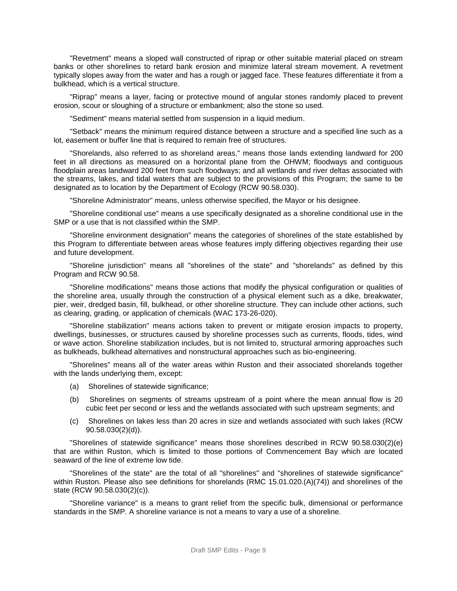"Revetment" means a sloped wall constructed of riprap or other suitable material placed on stream banks or other shorelines to retard bank erosion and minimize lateral stream movement. A revetment typically slopes away from the water and has a rough or jagged face. These features differentiate it from a bulkhead, which is a vertical structure.

"Riprap" means a layer, facing or protective mound of angular stones randomly placed to prevent erosion, scour or sloughing of a structure or embankment; also the stone so used.

"Sediment" means material settled from suspension in a liquid medium.

"Setback" means the minimum required distance between a structure and a specified line such as a lot, easement or buffer line that is required to remain free of structures.

"Shorelands, also referred to as shoreland areas," means those lands extending landward for 200 feet in all directions as measured on a horizontal plane from the OHWM; floodways and contiguous floodplain areas landward 200 feet from such floodways; and all wetlands and river deltas associated with the streams, lakes, and tidal waters that are subject to the provisions of this Program; the same to be designated as to location by the Department of Ecology (RCW 90.58.030).

"Shoreline Administrator" means, unless otherwise specified, the Mayor or his designee.

"Shoreline conditional use" means a use specifically designated as a shoreline conditional use in the SMP or a use that is not classified within the SMP.

"Shoreline environment designation" means the categories of shorelines of the state established by this Program to differentiate between areas whose features imply differing objectives regarding their use and future development.

"Shoreline jurisdiction" means all "shorelines of the state" and "shorelands" as defined by this Program and RCW 90.58.

"Shoreline modifications" means those actions that modify the physical configuration or qualities of the shoreline area, usually through the construction of a physical element such as a dike, breakwater, pier, weir, dredged basin, fill, bulkhead, or other shoreline structure. They can include other actions, such as clearing, grading, or application of chemicals (WAC 173-26-020).

"Shoreline stabilization" means actions taken to prevent or mitigate erosion impacts to property, dwellings, businesses, or structures caused by shoreline processes such as currents, floods, tides, wind or wave action. Shoreline stabilization includes, but is not limited to, structural armoring approaches such as bulkheads, bulkhead alternatives and nonstructural approaches such as bio-engineering.

"Shorelines" means all of the water areas within Ruston and their associated shorelands together with the lands underlying them, except:

- (a) Shorelines of statewide significance;
- (b) Shorelines on segments of streams upstream of a point where the mean annual flow is 20 cubic feet per second or less and the wetlands associated with such upstream segments; and
- (c) Shorelines on lakes less than 20 acres in size and wetlands associated with such lakes (RCW 90.58.030(2)(d)).

"Shorelines of statewide significance" means those shorelines described in RCW 90.58.030(2)(e) that are within Ruston, which is limited to those portions of Commencement Bay which are located seaward of the line of extreme low tide.

"Shorelines of the state" are the total of all "shorelines" and "shorelines of statewide significance" within Ruston. Please also see definitions for shorelands (RMC 15.01.020.(A)(74)) and shorelines of the state (RCW 90.58.030(2)(c)).

"Shoreline variance" is a means to grant relief from the specific bulk, dimensional or performance standards in the SMP. A shoreline variance is not a means to vary a use of a shoreline.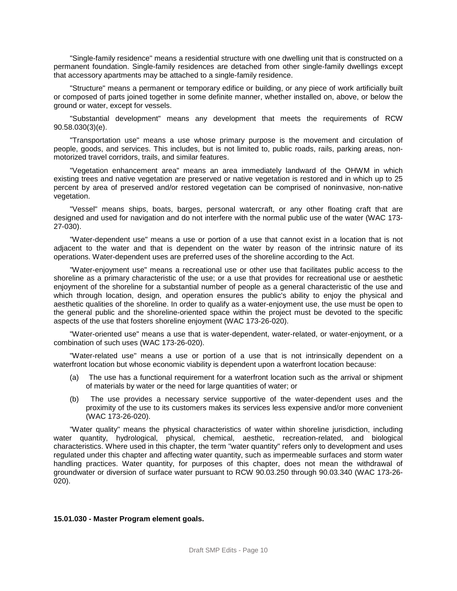"Single-family residence" means a residential structure with one dwelling unit that is constructed on a permanent foundation. Single-family residences are detached from other single-family dwellings except that accessory apartments may be attached to a single-family residence.

"Structure" means a permanent or temporary edifice or building, or any piece of work artificially built or composed of parts joined together in some definite manner, whether installed on, above, or below the ground or water, except for vessels.

"Substantial development" means any development that meets the requirements of RCW 90.58.030(3)(e).

"Transportation use" means a use whose primary purpose is the movement and circulation of people, goods, and services. This includes, but is not limited to, public roads, rails, parking areas, nonmotorized travel corridors, trails, and similar features.

"Vegetation enhancement area" means an area immediately landward of the OHWM in which existing trees and native vegetation are preserved or native vegetation is restored and in which up to 25 percent by area of preserved and/or restored vegetation can be comprised of noninvasive, non-native vegetation.

"Vessel" means ships, boats, barges, personal watercraft, or any other floating craft that are designed and used for navigation and do not interfere with the normal public use of the water (WAC 173- 27-030).

"Water-dependent use" means a use or portion of a use that cannot exist in a location that is not adjacent to the water and that is dependent on the water by reason of the intrinsic nature of its operations. Water-dependent uses are preferred uses of the shoreline according to the Act.

"Water-enjoyment use" means a recreational use or other use that facilitates public access to the shoreline as a primary characteristic of the use; or a use that provides for recreational use or aesthetic enjoyment of the shoreline for a substantial number of people as a general characteristic of the use and which through location, design, and operation ensures the public's ability to enjoy the physical and aesthetic qualities of the shoreline. In order to qualify as a water-enjoyment use, the use must be open to the general public and the shoreline-oriented space within the project must be devoted to the specific aspects of the use that fosters shoreline enjoyment (WAC 173-26-020).

"Water-oriented use" means a use that is water-dependent, water-related, or water-enjoyment, or a combination of such uses (WAC 173-26-020).

"Water-related use" means a use or portion of a use that is not intrinsically dependent on a waterfront location but whose economic viability is dependent upon a waterfront location because:

- (a) The use has a functional requirement for a waterfront location such as the arrival or shipment of materials by water or the need for large quantities of water; or
- (b) The use provides a necessary service supportive of the water-dependent uses and the proximity of the use to its customers makes its services less expensive and/or more convenient (WAC 173-26-020).

"Water quality" means the physical characteristics of water within shoreline jurisdiction, including water quantity, hydrological, physical, chemical, aesthetic, recreation-related, and biological characteristics. Where used in this chapter, the term "water quantity" refers only to development and uses regulated under this chapter and affecting water quantity, such as impermeable surfaces and storm water handling practices. Water quantity, for purposes of this chapter, does not mean the withdrawal of groundwater or diversion of surface water pursuant to RCW 90.03.250 through 90.03.340 (WAC 173-26- 020).

#### **15.01.030 - Master Program element goals.**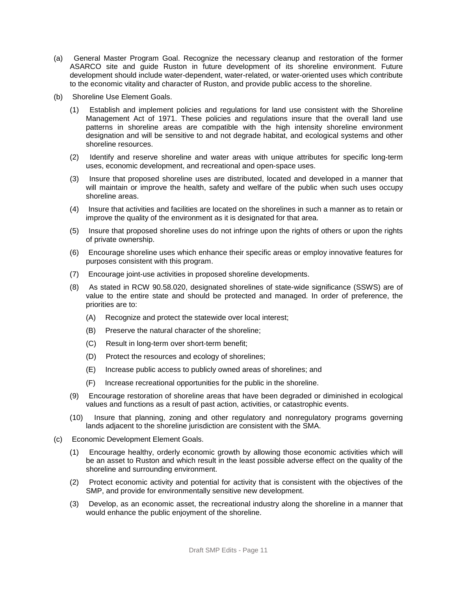- (a) General Master Program Goal. Recognize the necessary cleanup and restoration of the former ASARCO site and guide Ruston in future development of its shoreline environment. Future development should include water-dependent, water-related, or water-oriented uses which contribute to the economic vitality and character of Ruston, and provide public access to the shoreline.
- (b) Shoreline Use Element Goals.
	- (1) Establish and implement policies and regulations for land use consistent with the Shoreline Management Act of 1971. These policies and regulations insure that the overall land use patterns in shoreline areas are compatible with the high intensity shoreline environment designation and will be sensitive to and not degrade habitat, and ecological systems and other shoreline resources.
	- (2) Identify and reserve shoreline and water areas with unique attributes for specific long-term uses, economic development, and recreational and open-space uses.
	- (3) Insure that proposed shoreline uses are distributed, located and developed in a manner that will maintain or improve the health, safety and welfare of the public when such uses occupy shoreline areas.
	- (4) Insure that activities and facilities are located on the shorelines in such a manner as to retain or improve the quality of the environment as it is designated for that area.
	- (5) Insure that proposed shoreline uses do not infringe upon the rights of others or upon the rights of private ownership.
	- (6) Encourage shoreline uses which enhance their specific areas or employ innovative features for purposes consistent with this program.
	- (7) Encourage joint-use activities in proposed shoreline developments.
	- (8) As stated in RCW 90.58.020, designated shorelines of state-wide significance (SSWS) are of value to the entire state and should be protected and managed. In order of preference, the priorities are to:
		- (A) Recognize and protect the statewide over local interest;
		- (B) Preserve the natural character of the shoreline;
		- (C) Result in long-term over short-term benefit;
		- (D) Protect the resources and ecology of shorelines;
		- (E) Increase public access to publicly owned areas of shorelines; and
		- (F) Increase recreational opportunities for the public in the shoreline.
	- (9) Encourage restoration of shoreline areas that have been degraded or diminished in ecological values and functions as a result of past action, activities, or catastrophic events.
	- (10) Insure that planning, zoning and other regulatory and nonregulatory programs governing lands adjacent to the shoreline jurisdiction are consistent with the SMA.
- (c) Economic Development Element Goals.
	- (1) Encourage healthy, orderly economic growth by allowing those economic activities which will be an asset to Ruston and which result in the least possible adverse effect on the quality of the shoreline and surrounding environment.
	- (2) Protect economic activity and potential for activity that is consistent with the objectives of the SMP, and provide for environmentally sensitive new development.
	- (3) Develop, as an economic asset, the recreational industry along the shoreline in a manner that would enhance the public enjoyment of the shoreline.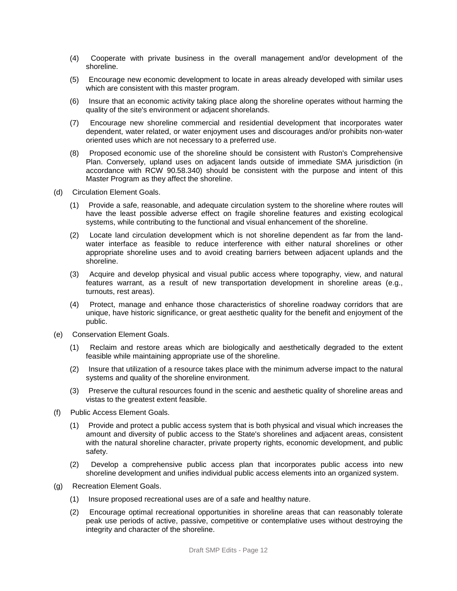- (4) Cooperate with private business in the overall management and/or development of the shoreline.
- (5) Encourage new economic development to locate in areas already developed with similar uses which are consistent with this master program.
- (6) Insure that an economic activity taking place along the shoreline operates without harming the quality of the site's environment or adjacent shorelands.
- (7) Encourage new shoreline commercial and residential development that incorporates water dependent, water related, or water enjoyment uses and discourages and/or prohibits non-water oriented uses which are not necessary to a preferred use.
- (8) Proposed economic use of the shoreline should be consistent with Ruston's Comprehensive Plan. Conversely, upland uses on adjacent lands outside of immediate SMA jurisdiction (in accordance with RCW 90.58.340) should be consistent with the purpose and intent of this Master Program as they affect the shoreline.
- (d) Circulation Element Goals.
	- (1) Provide a safe, reasonable, and adequate circulation system to the shoreline where routes will have the least possible adverse effect on fragile shoreline features and existing ecological systems, while contributing to the functional and visual enhancement of the shoreline.
	- (2) Locate land circulation development which is not shoreline dependent as far from the landwater interface as feasible to reduce interference with either natural shorelines or other appropriate shoreline uses and to avoid creating barriers between adjacent uplands and the shoreline.
	- (3) Acquire and develop physical and visual public access where topography, view, and natural features warrant, as a result of new transportation development in shoreline areas (e.g., turnouts, rest areas).
	- (4) Protect, manage and enhance those characteristics of shoreline roadway corridors that are unique, have historic significance, or great aesthetic quality for the benefit and enjoyment of the public.
- (e) Conservation Element Goals.
	- (1) Reclaim and restore areas which are biologically and aesthetically degraded to the extent feasible while maintaining appropriate use of the shoreline.
	- (2) Insure that utilization of a resource takes place with the minimum adverse impact to the natural systems and quality of the shoreline environment.
	- (3) Preserve the cultural resources found in the scenic and aesthetic quality of shoreline areas and vistas to the greatest extent feasible.
- (f) Public Access Element Goals.
	- (1) Provide and protect a public access system that is both physical and visual which increases the amount and diversity of public access to the State's shorelines and adjacent areas, consistent with the natural shoreline character, private property rights, economic development, and public safety.
	- (2) Develop a comprehensive public access plan that incorporates public access into new shoreline development and unifies individual public access elements into an organized system.
- (g) Recreation Element Goals.
	- (1) Insure proposed recreational uses are of a safe and healthy nature.
	- (2) Encourage optimal recreational opportunities in shoreline areas that can reasonably tolerate peak use periods of active, passive, competitive or contemplative uses without destroying the integrity and character of the shoreline.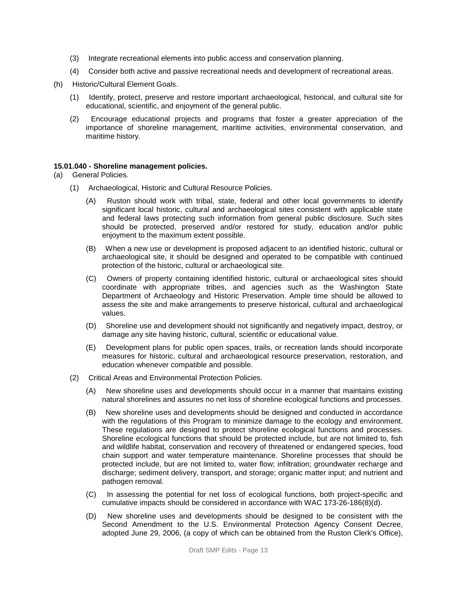- (3) Integrate recreational elements into public access and conservation planning.
- (4) Consider both active and passive recreational needs and development of recreational areas.
- (h) Historic/Cultural Element Goals.
	- (1) Identify, protect, preserve and restore important archaeological, historical, and cultural site for educational, scientific, and enjoyment of the general public.
	- (2) Encourage educational projects and programs that foster a greater appreciation of the importance of shoreline management, maritime activities, environmental conservation, and maritime history.

#### **15.01.040 - Shoreline management policies.**

- (a) General Policies.
	- (1) Archaeological, Historic and Cultural Resource Policies.
		- (A) Ruston should work with tribal, state, federal and other local governments to identify significant local historic, cultural and archaeological sites consistent with applicable state and federal laws protecting such information from general public disclosure. Such sites should be protected, preserved and/or restored for study, education and/or public enjoyment to the maximum extent possible.
		- (B) When a new use or development is proposed adjacent to an identified historic, cultural or archaeological site, it should be designed and operated to be compatible with continued protection of the historic, cultural or archaeological site.
		- (C) Owners of property containing identified historic, cultural or archaeological sites should coordinate with appropriate tribes, and agencies such as the Washington State Department of Archaeology and Historic Preservation. Ample time should be allowed to assess the site and make arrangements to preserve historical, cultural and archaeological values.
		- (D) Shoreline use and development should not significantly and negatively impact, destroy, or damage any site having historic, cultural, scientific or educational value.
		- (E) Development plans for public open spaces, trails, or recreation lands should incorporate measures for historic, cultural and archaeological resource preservation, restoration, and education whenever compatible and possible.
	- (2) Critical Areas and Environmental Protection Policies.
		- (A) New shoreline uses and developments should occur in a manner that maintains existing natural shorelines and assures no net loss of shoreline ecological functions and processes.
		- (B) New shoreline uses and developments should be designed and conducted in accordance with the regulations of this Program to minimize damage to the ecology and environment. These regulations are designed to protect shoreline ecological functions and processes. Shoreline ecological functions that should be protected include, but are not limited to, fish and wildlife habitat, conservation and recovery of threatened or endangered species, food chain support and water temperature maintenance. Shoreline processes that should be protected include, but are not limited to, water flow; infiltration; groundwater recharge and discharge; sediment delivery, transport, and storage; organic matter input; and nutrient and pathogen removal.
		- (C) In assessing the potential for net loss of ecological functions, both project-specific and cumulative impacts should be considered in accordance with WAC 173-26-186(8)(d).
		- (D) New shoreline uses and developments should be designed to be consistent with the Second Amendment to the U.S. Environmental Protection Agency Consent Decree, adopted June 29, 2006, (a copy of which can be obtained from the Ruston Clerk's Office),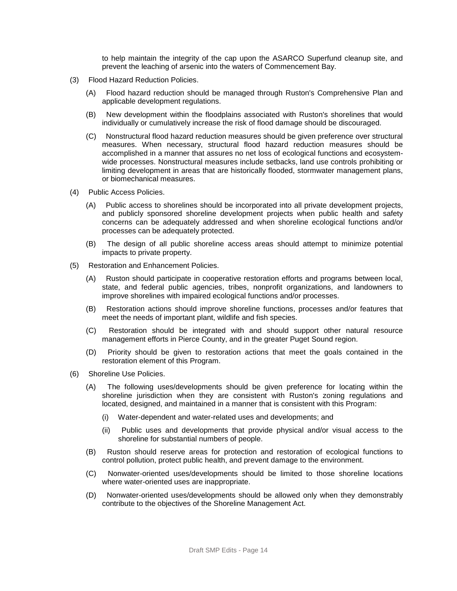to help maintain the integrity of the cap upon the ASARCO Superfund cleanup site, and prevent the leaching of arsenic into the waters of Commencement Bay.

- (3) Flood Hazard Reduction Policies.
	- (A) Flood hazard reduction should be managed through Ruston's Comprehensive Plan and applicable development regulations.
	- (B) New development within the floodplains associated with Ruston's shorelines that would individually or cumulatively increase the risk of flood damage should be discouraged.
	- (C) Nonstructural flood hazard reduction measures should be given preference over structural measures. When necessary, structural flood hazard reduction measures should be accomplished in a manner that assures no net loss of ecological functions and ecosystemwide processes. Nonstructural measures include setbacks, land use controls prohibiting or limiting development in areas that are historically flooded, stormwater management plans, or biomechanical measures.
- (4) Public Access Policies.
	- (A) Public access to shorelines should be incorporated into all private development projects, and publicly sponsored shoreline development projects when public health and safety concerns can be adequately addressed and when shoreline ecological functions and/or processes can be adequately protected.
	- (B) The design of all public shoreline access areas should attempt to minimize potential impacts to private property.
- (5) Restoration and Enhancement Policies.
	- (A) Ruston should participate in cooperative restoration efforts and programs between local, state, and federal public agencies, tribes, nonprofit organizations, and landowners to improve shorelines with impaired ecological functions and/or processes.
	- (B) Restoration actions should improve shoreline functions, processes and/or features that meet the needs of important plant, wildlife and fish species.
	- (C) Restoration should be integrated with and should support other natural resource management efforts in Pierce County, and in the greater Puget Sound region.
	- (D) Priority should be given to restoration actions that meet the goals contained in the restoration element of this Program.
- (6) Shoreline Use Policies.
	- (A) The following uses/developments should be given preference for locating within the shoreline jurisdiction when they are consistent with Ruston's zoning regulations and located, designed, and maintained in a manner that is consistent with this Program:
		- (i) Water-dependent and water-related uses and developments; and
		- (ii) Public uses and developments that provide physical and/or visual access to the shoreline for substantial numbers of people.
	- (B) Ruston should reserve areas for protection and restoration of ecological functions to control pollution, protect public health, and prevent damage to the environment.
	- (C) Nonwater-oriented uses/developments should be limited to those shoreline locations where water-oriented uses are inappropriate.
	- (D) Nonwater-oriented uses/developments should be allowed only when they demonstrably contribute to the objectives of the Shoreline Management Act.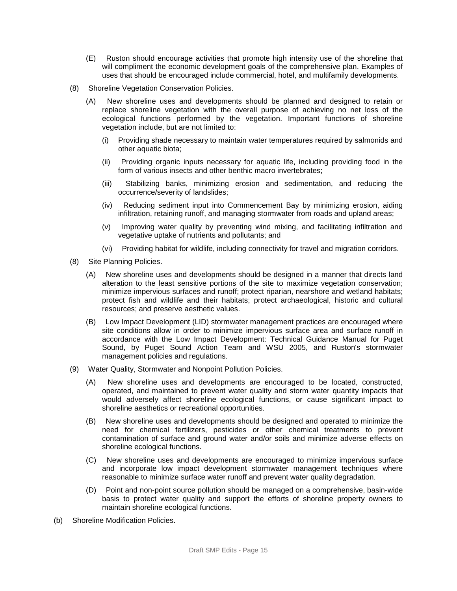- (E) Ruston should encourage activities that promote high intensity use of the shoreline that will compliment the economic development goals of the comprehensive plan. Examples of uses that should be encouraged include commercial, hotel, and multifamily developments.
- (8) Shoreline Vegetation Conservation Policies.
	- (A) New shoreline uses and developments should be planned and designed to retain or replace shoreline vegetation with the overall purpose of achieving no net loss of the ecological functions performed by the vegetation. Important functions of shoreline vegetation include, but are not limited to:
		- (i) Providing shade necessary to maintain water temperatures required by salmonids and other aquatic biota;
		- (ii) Providing organic inputs necessary for aquatic life, including providing food in the form of various insects and other benthic macro invertebrates;
		- (iii) Stabilizing banks, minimizing erosion and sedimentation, and reducing the occurrence/severity of landslides;
		- (iv) Reducing sediment input into Commencement Bay by minimizing erosion, aiding infiltration, retaining runoff, and managing stormwater from roads and upland areas;
		- (v) Improving water quality by preventing wind mixing, and facilitating infiltration and vegetative uptake of nutrients and pollutants; and
		- (vi) Providing habitat for wildlife, including connectivity for travel and migration corridors.
- (8) Site Planning Policies.
	- (A) New shoreline uses and developments should be designed in a manner that directs land alteration to the least sensitive portions of the site to maximize vegetation conservation; minimize impervious surfaces and runoff; protect riparian, nearshore and wetland habitats; protect fish and wildlife and their habitats; protect archaeological, historic and cultural resources; and preserve aesthetic values.
	- (B) Low Impact Development (LID) stormwater management practices are encouraged where site conditions allow in order to minimize impervious surface area and surface runoff in accordance with the Low Impact Development: Technical Guidance Manual for Puget Sound, by Puget Sound Action Team and WSU 2005, and Ruston's stormwater management policies and regulations.
- (9) Water Quality, Stormwater and Nonpoint Pollution Policies.
	- (A) New shoreline uses and developments are encouraged to be located, constructed, operated, and maintained to prevent water quality and storm water quantity impacts that would adversely affect shoreline ecological functions, or cause significant impact to shoreline aesthetics or recreational opportunities.
	- (B) New shoreline uses and developments should be designed and operated to minimize the need for chemical fertilizers, pesticides or other chemical treatments to prevent contamination of surface and ground water and/or soils and minimize adverse effects on shoreline ecological functions.
	- (C) New shoreline uses and developments are encouraged to minimize impervious surface and incorporate low impact development stormwater management techniques where reasonable to minimize surface water runoff and prevent water quality degradation.
	- (D) Point and non-point source pollution should be managed on a comprehensive, basin-wide basis to protect water quality and support the efforts of shoreline property owners to maintain shoreline ecological functions.
- (b) Shoreline Modification Policies.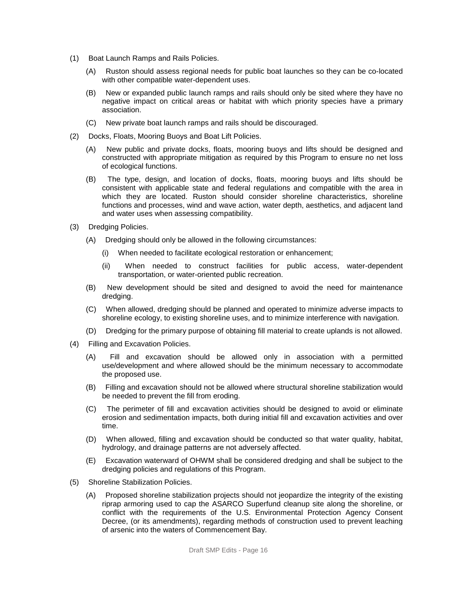- (1) Boat Launch Ramps and Rails Policies.
	- (A) Ruston should assess regional needs for public boat launches so they can be co-located with other compatible water-dependent uses.
	- (B) New or expanded public launch ramps and rails should only be sited where they have no negative impact on critical areas or habitat with which priority species have a primary association.
	- (C) New private boat launch ramps and rails should be discouraged.
- (2) Docks, Floats, Mooring Buoys and Boat Lift Policies.
	- (A) New public and private docks, floats, mooring buoys and lifts should be designed and constructed with appropriate mitigation as required by this Program to ensure no net loss of ecological functions.
	- (B) The type, design, and location of docks, floats, mooring buoys and lifts should be consistent with applicable state and federal regulations and compatible with the area in which they are located. Ruston should consider shoreline characteristics, shoreline functions and processes, wind and wave action, water depth, aesthetics, and adjacent land and water uses when assessing compatibility.
- (3) Dredging Policies.
	- (A) Dredging should only be allowed in the following circumstances:
		- (i) When needed to facilitate ecological restoration or enhancement;
		- (ii) When needed to construct facilities for public access, water-dependent transportation, or water-oriented public recreation.
	- (B) New development should be sited and designed to avoid the need for maintenance dredging.
	- (C) When allowed, dredging should be planned and operated to minimize adverse impacts to shoreline ecology, to existing shoreline uses, and to minimize interference with navigation.
	- (D) Dredging for the primary purpose of obtaining fill material to create uplands is not allowed.
- (4) Filling and Excavation Policies.
	- (A) Fill and excavation should be allowed only in association with a permitted use/development and where allowed should be the minimum necessary to accommodate the proposed use.
	- (B) Filling and excavation should not be allowed where structural shoreline stabilization would be needed to prevent the fill from eroding.
	- (C) The perimeter of fill and excavation activities should be designed to avoid or eliminate erosion and sedimentation impacts, both during initial fill and excavation activities and over time.
	- (D) When allowed, filling and excavation should be conducted so that water quality, habitat, hydrology, and drainage patterns are not adversely affected.
	- (E) Excavation waterward of OHWM shall be considered dredging and shall be subject to the dredging policies and regulations of this Program.
- (5) Shoreline Stabilization Policies.
	- (A) Proposed shoreline stabilization projects should not jeopardize the integrity of the existing riprap armoring used to cap the ASARCO Superfund cleanup site along the shoreline, or conflict with the requirements of the U.S. Environmental Protection Agency Consent Decree, (or its amendments), regarding methods of construction used to prevent leaching of arsenic into the waters of Commencement Bay.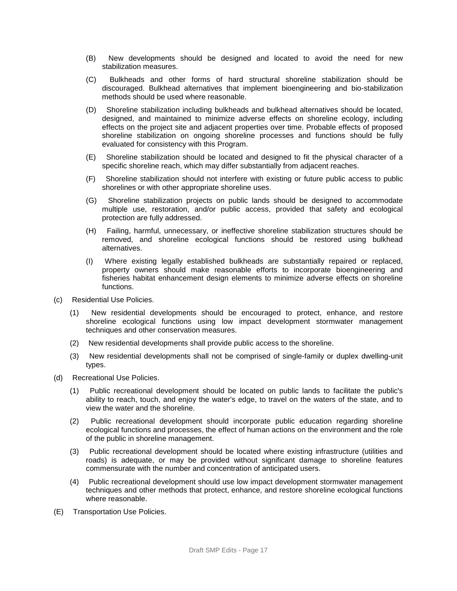- (B) New developments should be designed and located to avoid the need for new stabilization measures.
- (C) Bulkheads and other forms of hard structural shoreline stabilization should be discouraged. Bulkhead alternatives that implement bioengineering and bio-stabilization methods should be used where reasonable.
- (D) Shoreline stabilization including bulkheads and bulkhead alternatives should be located, designed, and maintained to minimize adverse effects on shoreline ecology, including effects on the project site and adjacent properties over time. Probable effects of proposed shoreline stabilization on ongoing shoreline processes and functions should be fully evaluated for consistency with this Program.
- (E) Shoreline stabilization should be located and designed to fit the physical character of a specific shoreline reach, which may differ substantially from adjacent reaches.
- (F) Shoreline stabilization should not interfere with existing or future public access to public shorelines or with other appropriate shoreline uses.
- (G) Shoreline stabilization projects on public lands should be designed to accommodate multiple use, restoration, and/or public access, provided that safety and ecological protection are fully addressed.
- (H) Failing, harmful, unnecessary, or ineffective shoreline stabilization structures should be removed, and shoreline ecological functions should be restored using bulkhead alternatives.
- (I) Where existing legally established bulkheads are substantially repaired or replaced, property owners should make reasonable efforts to incorporate bioengineering and fisheries habitat enhancement design elements to minimize adverse effects on shoreline functions.
- (c) Residential Use Policies.
	- (1) New residential developments should be encouraged to protect, enhance, and restore shoreline ecological functions using low impact development stormwater management techniques and other conservation measures.
	- (2) New residential developments shall provide public access to the shoreline.
	- (3) New residential developments shall not be comprised of single-family or duplex dwelling-unit types.
- (d) Recreational Use Policies.
	- (1) Public recreational development should be located on public lands to facilitate the public's ability to reach, touch, and enjoy the water's edge, to travel on the waters of the state, and to view the water and the shoreline.
	- (2) Public recreational development should incorporate public education regarding shoreline ecological functions and processes, the effect of human actions on the environment and the role of the public in shoreline management.
	- (3) Public recreational development should be located where existing infrastructure (utilities and roads) is adequate, or may be provided without significant damage to shoreline features commensurate with the number and concentration of anticipated users.
	- (4) Public recreational development should use low impact development stormwater management techniques and other methods that protect, enhance, and restore shoreline ecological functions where reasonable.
- (E) Transportation Use Policies.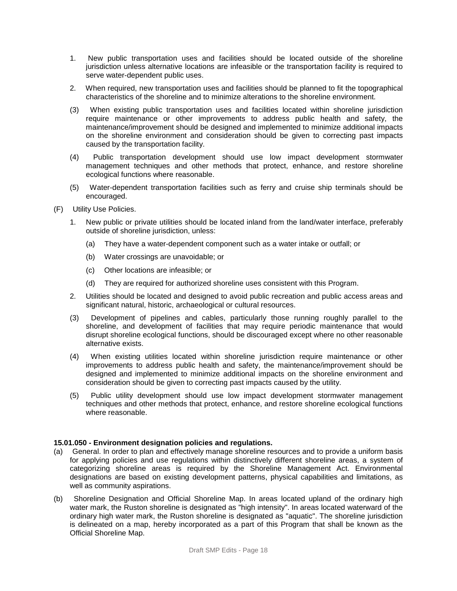- 1. New public transportation uses and facilities should be located outside of the shoreline jurisdiction unless alternative locations are infeasible or the transportation facility is required to serve water-dependent public uses.
- 2. When required, new transportation uses and facilities should be planned to fit the topographical characteristics of the shoreline and to minimize alterations to the shoreline environment.
- (3) When existing public transportation uses and facilities located within shoreline jurisdiction require maintenance or other improvements to address public health and safety, the maintenance/improvement should be designed and implemented to minimize additional impacts on the shoreline environment and consideration should be given to correcting past impacts caused by the transportation facility.
- (4) Public transportation development should use low impact development stormwater management techniques and other methods that protect, enhance, and restore shoreline ecological functions where reasonable.
- (5) Water-dependent transportation facilities such as ferry and cruise ship terminals should be encouraged.
- (F) Utility Use Policies.
	- 1. New public or private utilities should be located inland from the land/water interface, preferably outside of shoreline jurisdiction, unless:
		- (a) They have a water-dependent component such as a water intake or outfall; or
		- (b) Water crossings are unavoidable; or
		- (c) Other locations are infeasible; or
		- (d) They are required for authorized shoreline uses consistent with this Program.
	- 2. Utilities should be located and designed to avoid public recreation and public access areas and significant natural, historic, archaeological or cultural resources.
	- (3) Development of pipelines and cables, particularly those running roughly parallel to the shoreline, and development of facilities that may require periodic maintenance that would disrupt shoreline ecological functions, should be discouraged except where no other reasonable alternative exists.
	- (4) When existing utilities located within shoreline jurisdiction require maintenance or other improvements to address public health and safety, the maintenance/improvement should be designed and implemented to minimize additional impacts on the shoreline environment and consideration should be given to correcting past impacts caused by the utility.
	- (5) Public utility development should use low impact development stormwater management techniques and other methods that protect, enhance, and restore shoreline ecological functions where reasonable.

#### **15.01.050 - Environment designation policies and regulations.**

- (a) General. In order to plan and effectively manage shoreline resources and to provide a uniform basis for applying policies and use regulations within distinctively different shoreline areas, a system of categorizing shoreline areas is required by the Shoreline Management Act. Environmental designations are based on existing development patterns, physical capabilities and limitations, as well as community aspirations.
- (b) Shoreline Designation and Official Shoreline Map. In areas located upland of the ordinary high water mark, the Ruston shoreline is designated as "high intensity". In areas located waterward of the ordinary high water mark, the Ruston shoreline is designated as "aquatic". The shoreline jurisdiction is delineated on a map, hereby incorporated as a part of this Program that shall be known as the Official Shoreline Map.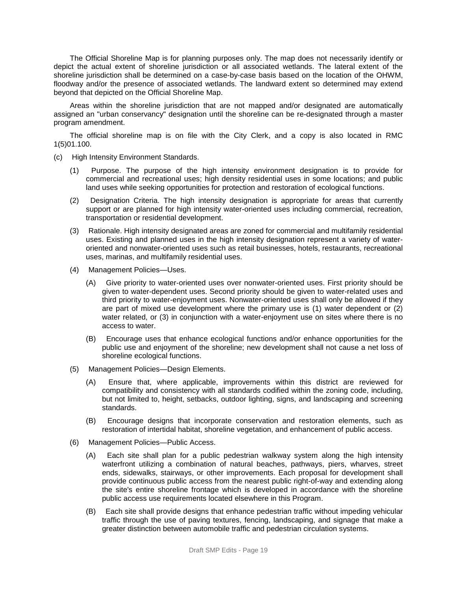The Official Shoreline Map is for planning purposes only. The map does not necessarily identify or depict the actual extent of shoreline jurisdiction or all associated wetlands. The lateral extent of the shoreline jurisdiction shall be determined on a case-by-case basis based on the location of the OHWM, floodway and/or the presence of associated wetlands. The landward extent so determined may extend beyond that depicted on the Official Shoreline Map.

Areas within the shoreline jurisdiction that are not mapped and/or designated are automatically assigned an "urban conservancy" designation until the shoreline can be re-designated through a master program amendment.

The official shoreline map is on file with the City Clerk, and a copy is also located in RMC 1(5)01.100.

- (c) High Intensity Environment Standards.
	- (1) Purpose. The purpose of the high intensity environment designation is to provide for commercial and recreational uses; high density residential uses in some locations; and public land uses while seeking opportunities for protection and restoration of ecological functions.
	- (2) Designation Criteria. The high intensity designation is appropriate for areas that currently support or are planned for high intensity water-oriented uses including commercial, recreation, transportation or residential development.
	- (3) Rationale. High intensity designated areas are zoned for commercial and multifamily residential uses. Existing and planned uses in the high intensity designation represent a variety of wateroriented and nonwater-oriented uses such as retail businesses, hotels, restaurants, recreational uses, marinas, and multifamily residential uses.
	- (4) Management Policies—Uses.
		- (A) Give priority to water-oriented uses over nonwater-oriented uses. First priority should be given to water-dependent uses. Second priority should be given to water-related uses and third priority to water-enjoyment uses. Nonwater-oriented uses shall only be allowed if they are part of mixed use development where the primary use is (1) water dependent or (2) water related, or (3) in conjunction with a water-enjoyment use on sites where there is no access to water.
		- (B) Encourage uses that enhance ecological functions and/or enhance opportunities for the public use and enjoyment of the shoreline; new development shall not cause a net loss of shoreline ecological functions.
	- (5) Management Policies—Design Elements.
		- (A) Ensure that, where applicable, improvements within this district are reviewed for compatibility and consistency with all standards codified within the zoning code, including, but not limited to, height, setbacks, outdoor lighting, signs, and landscaping and screening standards.
		- (B) Encourage designs that incorporate conservation and restoration elements, such as restoration of intertidal habitat, shoreline vegetation, and enhancement of public access.
	- (6) Management Policies—Public Access.
		- (A) Each site shall plan for a public pedestrian walkway system along the high intensity waterfront utilizing a combination of natural beaches, pathways, piers, wharves, street ends, sidewalks, stairways, or other improvements. Each proposal for development shall provide continuous public access from the nearest public right-of-way and extending along the site's entire shoreline frontage which is developed in accordance with the shoreline public access use requirements located elsewhere in this Program.
		- (B) Each site shall provide designs that enhance pedestrian traffic without impeding vehicular traffic through the use of paving textures, fencing, landscaping, and signage that make a greater distinction between automobile traffic and pedestrian circulation systems.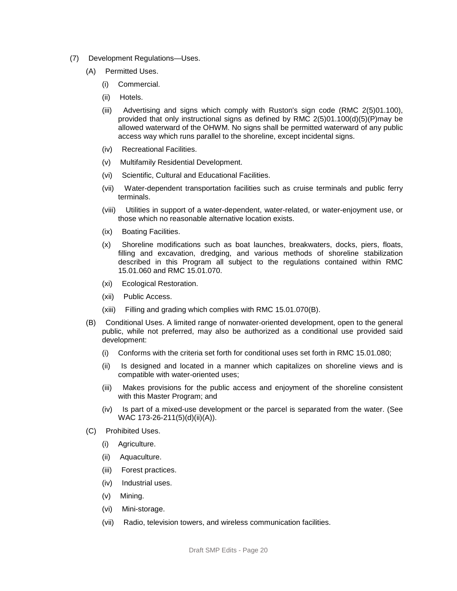- (7) Development Regulations—Uses.
	- (A) Permitted Uses.
		- (i) Commercial.
		- (ii) Hotels.
		- (iii) Advertising and signs which comply with Ruston's sign code (RMC 2(5)01.100), provided that only instructional signs as defined by RMC 2(5)01.100(d)(5)(P)may be allowed waterward of the OHWM. No signs shall be permitted waterward of any public access way which runs parallel to the shoreline, except incidental signs.
		- (iv) Recreational Facilities.
		- (v) Multifamily Residential Development.
		- (vi) Scientific, Cultural and Educational Facilities.
		- (vii) Water-dependent transportation facilities such as cruise terminals and public ferry terminals.
		- (viii) Utilities in support of a water-dependent, water-related, or water-enjoyment use, or those which no reasonable alternative location exists.
		- (ix) Boating Facilities.
		- (x) Shoreline modifications such as boat launches, breakwaters, docks, piers, floats, filling and excavation, dredging, and various methods of shoreline stabilization described in this Program all subject to the regulations contained within RMC 15.01.060 and RMC 15.01.070.
		- (xi) Ecological Restoration.
		- (xii) Public Access.
		- (xiii) Filling and grading which complies with RMC 15.01.070(B).
	- (B) Conditional Uses. A limited range of nonwater-oriented development, open to the general public, while not preferred, may also be authorized as a conditional use provided said development:
		- (i) Conforms with the criteria set forth for conditional uses set forth in RMC 15.01.080;
		- (ii) Is designed and located in a manner which capitalizes on shoreline views and is compatible with water-oriented uses;
		- (iii) Makes provisions for the public access and enjoyment of the shoreline consistent with this Master Program; and
		- (iv) Is part of a mixed-use development or the parcel is separated from the water. (See WAC 173-26-211(5)(d)(ii)(A)).
	- (C) Prohibited Uses.
		- (i) Agriculture.
		- (ii) Aquaculture.
		- (iii) Forest practices.
		- (iv) Industrial uses.
		- (v) Mining.
		- (vi) Mini-storage.
		- (vii) Radio, television towers, and wireless communication facilities.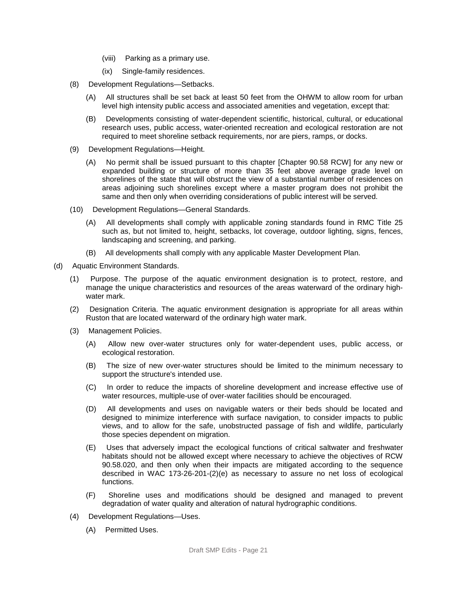- (viii) Parking as a primary use.
- (ix) Single-family residences.
- (8) Development Regulations—Setbacks.
	- (A) All structures shall be set back at least 50 feet from the OHWM to allow room for urban level high intensity public access and associated amenities and vegetation, except that:
	- (B) Developments consisting of water-dependent scientific, historical, cultural, or educational research uses, public access, water-oriented recreation and ecological restoration are not required to meet shoreline setback requirements, nor are piers, ramps, or docks.
- (9) Development Regulations—Height.
	- (A) No permit shall be issued pursuant to this chapter [Chapter 90.58 RCW] for any new or expanded building or structure of more than 35 feet above average grade level on shorelines of the state that will obstruct the view of a substantial number of residences on areas adjoining such shorelines except where a master program does not prohibit the same and then only when overriding considerations of public interest will be served.
- (10) Development Regulations—General Standards.
	- (A) All developments shall comply with applicable zoning standards found in RMC Title 25 such as, but not limited to, height, setbacks, lot coverage, outdoor lighting, signs, fences, landscaping and screening, and parking.
	- (B) All developments shall comply with any applicable Master Development Plan.
- (d) Aquatic Environment Standards.
	- (1) Purpose. The purpose of the aquatic environment designation is to protect, restore, and manage the unique characteristics and resources of the areas waterward of the ordinary highwater mark.
	- (2) Designation Criteria. The aquatic environment designation is appropriate for all areas within Ruston that are located waterward of the ordinary high water mark.
	- (3) Management Policies.
		- (A) Allow new over-water structures only for water-dependent uses, public access, or ecological restoration.
		- (B) The size of new over-water structures should be limited to the minimum necessary to support the structure's intended use.
		- (C) In order to reduce the impacts of shoreline development and increase effective use of water resources, multiple-use of over-water facilities should be encouraged.
		- (D) All developments and uses on navigable waters or their beds should be located and designed to minimize interference with surface navigation, to consider impacts to public views, and to allow for the safe, unobstructed passage of fish and wildlife, particularly those species dependent on migration.
		- (E) Uses that adversely impact the ecological functions of critical saltwater and freshwater habitats should not be allowed except where necessary to achieve the objectives of RCW 90.58.020, and then only when their impacts are mitigated according to the sequence described in WAC 173-26-201-(2)(e) as necessary to assure no net loss of ecological functions.
		- (F) Shoreline uses and modifications should be designed and managed to prevent degradation of water quality and alteration of natural hydrographic conditions.
	- (4) Development Regulations—Uses.
		- (A) Permitted Uses.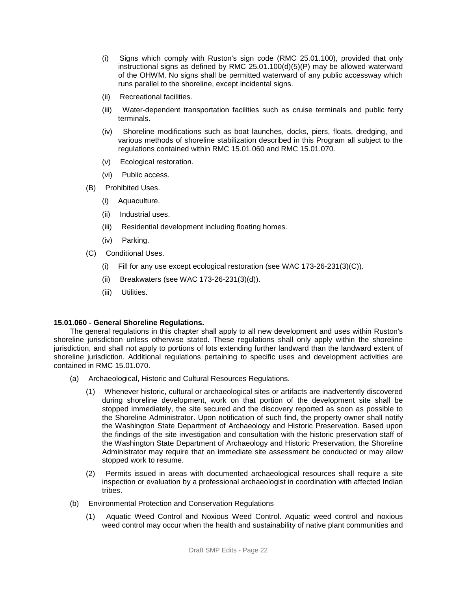- (i) Signs which comply with Ruston's sign code (RMC 25.01.100), provided that only instructional signs as defined by RMC 25.01.100(d)(5)(P) may be allowed waterward of the OHWM. No signs shall be permitted waterward of any public accessway which runs parallel to the shoreline, except incidental signs.
- (ii) Recreational facilities.
- (iii) Water-dependent transportation facilities such as cruise terminals and public ferry terminals.
- (iv) Shoreline modifications such as boat launches, docks, piers, floats, dredging, and various methods of shoreline stabilization described in this Program all subject to the regulations contained within RMC 15.01.060 and RMC 15.01.070.
- (v) Ecological restoration.
- (vi) Public access.
- (B) Prohibited Uses.
	- (i) Aquaculture.
	- (ii) Industrial uses.
	- (iii) Residential development including floating homes.
	- (iv) Parking.
- (C) Conditional Uses.
	- (i) Fill for any use except ecological restoration (see WAC 173-26-231(3)(C)).
	- (ii) Breakwaters (see WAC 173-26-231(3)(d)).
	- (iii) Utilities.

#### **15.01.060 - General Shoreline Regulations.**

The general regulations in this chapter shall apply to all new development and uses within Ruston's shoreline jurisdiction unless otherwise stated. These regulations shall only apply within the shoreline jurisdiction, and shall not apply to portions of lots extending further landward than the landward extent of shoreline jurisdiction. Additional regulations pertaining to specific uses and development activities are contained in RMC 15.01.070.

- (a) Archaeological, Historic and Cultural Resources Regulations.
	- (1) Whenever historic, cultural or archaeological sites or artifacts are inadvertently discovered during shoreline development, work on that portion of the development site shall be stopped immediately, the site secured and the discovery reported as soon as possible to the Shoreline Administrator. Upon notification of such find, the property owner shall notify the Washington State Department of Archaeology and Historic Preservation. Based upon the findings of the site investigation and consultation with the historic preservation staff of the Washington State Department of Archaeology and Historic Preservation, the Shoreline Administrator may require that an immediate site assessment be conducted or may allow stopped work to resume.
	- (2) Permits issued in areas with documented archaeological resources shall require a site inspection or evaluation by a professional archaeologist in coordination with affected Indian tribes.
- (b) Environmental Protection and Conservation Regulations
	- (1) Aquatic Weed Control and Noxious Weed Control. Aquatic weed control and noxious weed control may occur when the health and sustainability of native plant communities and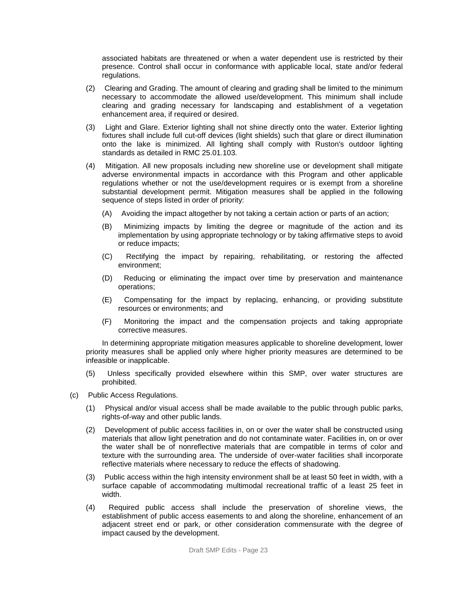associated habitats are threatened or when a water dependent use is restricted by their presence. Control shall occur in conformance with applicable local, state and/or federal regulations.

- (2) Clearing and Grading. The amount of clearing and grading shall be limited to the minimum necessary to accommodate the allowed use/development. This minimum shall include clearing and grading necessary for landscaping and establishment of a vegetation enhancement area, if required or desired.
- (3) Light and Glare. Exterior lighting shall not shine directly onto the water. Exterior lighting fixtures shall include full cut-off devices (light shields) such that glare or direct illumination onto the lake is minimized. All lighting shall comply with Ruston's outdoor lighting standards as detailed in RMC 25.01.103.
- (4) Mitigation. All new proposals including new shoreline use or development shall mitigate adverse environmental impacts in accordance with this Program and other applicable regulations whether or not the use/development requires or is exempt from a shoreline substantial development permit. Mitigation measures shall be applied in the following sequence of steps listed in order of priority:
	- (A) Avoiding the impact altogether by not taking a certain action or parts of an action;
	- (B) Minimizing impacts by limiting the degree or magnitude of the action and its implementation by using appropriate technology or by taking affirmative steps to avoid or reduce impacts;
	- (C) Rectifying the impact by repairing, rehabilitating, or restoring the affected environment;
	- (D) Reducing or eliminating the impact over time by preservation and maintenance operations;
	- (E) Compensating for the impact by replacing, enhancing, or providing substitute resources or environments; and
	- (F) Monitoring the impact and the compensation projects and taking appropriate corrective measures.

In determining appropriate mitigation measures applicable to shoreline development, lower priority measures shall be applied only where higher priority measures are determined to be infeasible or inapplicable.

- (5) Unless specifically provided elsewhere within this SMP, over water structures are prohibited.
- (c) Public Access Regulations.
	- (1) Physical and/or visual access shall be made available to the public through public parks, rights-of-way and other public lands.
	- (2) Development of public access facilities in, on or over the water shall be constructed using materials that allow light penetration and do not contaminate water. Facilities in, on or over the water shall be of nonreflective materials that are compatible in terms of color and texture with the surrounding area. The underside of over-water facilities shall incorporate reflective materials where necessary to reduce the effects of shadowing.
	- (3) Public access within the high intensity environment shall be at least 50 feet in width, with a surface capable of accommodating multimodal recreational traffic of a least 25 feet in width.
	- (4) Required public access shall include the preservation of shoreline views, the establishment of public access easements to and along the shoreline, enhancement of an adjacent street end or park, or other consideration commensurate with the degree of impact caused by the development.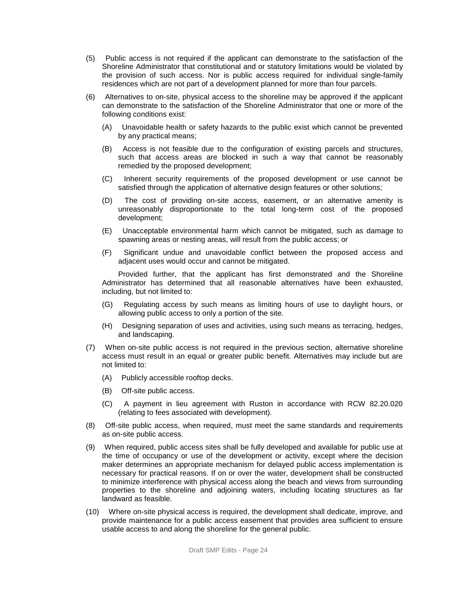- (5) Public access is not required if the applicant can demonstrate to the satisfaction of the Shoreline Administrator that constitutional and or statutory limitations would be violated by the provision of such access. Nor is public access required for individual single-family residences which are not part of a development planned for more than four parcels.
- (6) Alternatives to on-site, physical access to the shoreline may be approved if the applicant can demonstrate to the satisfaction of the Shoreline Administrator that one or more of the following conditions exist:
	- (A) Unavoidable health or safety hazards to the public exist which cannot be prevented by any practical means;
	- (B) Access is not feasible due to the configuration of existing parcels and structures, such that access areas are blocked in such a way that cannot be reasonably remedied by the proposed development;
	- (C) Inherent security requirements of the proposed development or use cannot be satisfied through the application of alternative design features or other solutions;
	- (D) The cost of providing on-site access, easement, or an alternative amenity is unreasonably disproportionate to the total long-term cost of the proposed development;
	- (E) Unacceptable environmental harm which cannot be mitigated, such as damage to spawning areas or nesting areas, will result from the public access; or
	- (F) Significant undue and unavoidable conflict between the proposed access and adjacent uses would occur and cannot be mitigated.

Provided further, that the applicant has first demonstrated and the Shoreline Administrator has determined that all reasonable alternatives have been exhausted, including, but not limited to:

- (G) Regulating access by such means as limiting hours of use to daylight hours, or allowing public access to only a portion of the site.
- (H) Designing separation of uses and activities, using such means as terracing, hedges, and landscaping.
- (7) When on-site public access is not required in the previous section, alternative shoreline access must result in an equal or greater public benefit. Alternatives may include but are not limited to:
	- (A) Publicly accessible rooftop decks.
	- (B) Off-site public access.
	- (C) A payment in lieu agreement with Ruston in accordance with RCW 82.20.020 (relating to fees associated with development).
- (8) Off-site public access, when required, must meet the same standards and requirements as on-site public access.
- (9) When required, public access sites shall be fully developed and available for public use at the time of occupancy or use of the development or activity, except where the decision maker determines an appropriate mechanism for delayed public access implementation is necessary for practical reasons. If on or over the water, development shall be constructed to minimize interference with physical access along the beach and views from surrounding properties to the shoreline and adjoining waters, including locating structures as far landward as feasible.
- (10) Where on-site physical access is required, the development shall dedicate, improve, and provide maintenance for a public access easement that provides area sufficient to ensure usable access to and along the shoreline for the general public.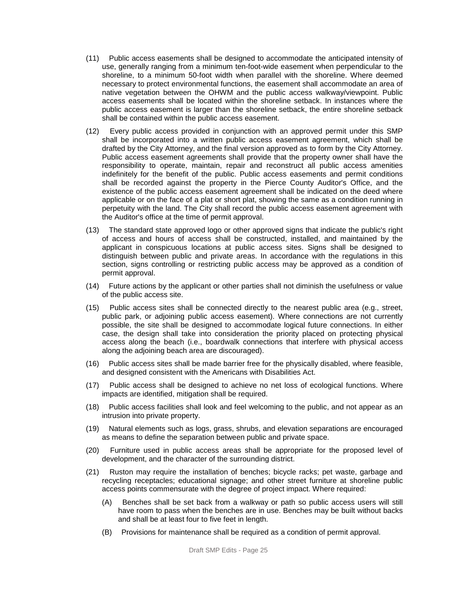- (11) Public access easements shall be designed to accommodate the anticipated intensity of use, generally ranging from a minimum ten-foot-wide easement when perpendicular to the shoreline, to a minimum 50-foot width when parallel with the shoreline. Where deemed necessary to protect environmental functions, the easement shall accommodate an area of native vegetation between the OHWM and the public access walkway/viewpoint. Public access easements shall be located within the shoreline setback. In instances where the public access easement is larger than the shoreline setback, the entire shoreline setback shall be contained within the public access easement.
- (12) Every public access provided in conjunction with an approved permit under this SMP shall be incorporated into a written public access easement agreement, which shall be drafted by the City Attorney, and the final version approved as to form by the City Attorney. Public access easement agreements shall provide that the property owner shall have the responsibility to operate, maintain, repair and reconstruct all public access amenities indefinitely for the benefit of the public. Public access easements and permit conditions shall be recorded against the property in the Pierce County Auditor's Office, and the existence of the public access easement agreement shall be indicated on the deed where applicable or on the face of a plat or short plat, showing the same as a condition running in perpetuity with the land. The City shall record the public access easement agreement with the Auditor's office at the time of permit approval.
- (13) The standard state approved logo or other approved signs that indicate the public's right of access and hours of access shall be constructed, installed, and maintained by the applicant in conspicuous locations at public access sites. Signs shall be designed to distinguish between public and private areas. In accordance with the regulations in this section, signs controlling or restricting public access may be approved as a condition of permit approval.
- (14) Future actions by the applicant or other parties shall not diminish the usefulness or value of the public access site.
- (15) Public access sites shall be connected directly to the nearest public area (e.g., street, public park, or adjoining public access easement). Where connections are not currently possible, the site shall be designed to accommodate logical future connections. In either case, the design shall take into consideration the priority placed on protecting physical access along the beach (i.e., boardwalk connections that interfere with physical access along the adjoining beach area are discouraged).
- (16) Public access sites shall be made barrier free for the physically disabled, where feasible, and designed consistent with the Americans with Disabilities Act.
- (17) Public access shall be designed to achieve no net loss of ecological functions. Where impacts are identified, mitigation shall be required.
- (18) Public access facilities shall look and feel welcoming to the public, and not appear as an intrusion into private property.
- (19) Natural elements such as logs, grass, shrubs, and elevation separations are encouraged as means to define the separation between public and private space.
- (20) Furniture used in public access areas shall be appropriate for the proposed level of development, and the character of the surrounding district.
- (21) Ruston may require the installation of benches; bicycle racks; pet waste, garbage and recycling receptacles; educational signage; and other street furniture at shoreline public access points commensurate with the degree of project impact. Where required:
	- (A) Benches shall be set back from a walkway or path so public access users will still have room to pass when the benches are in use. Benches may be built without backs and shall be at least four to five feet in length.
	- (B) Provisions for maintenance shall be required as a condition of permit approval.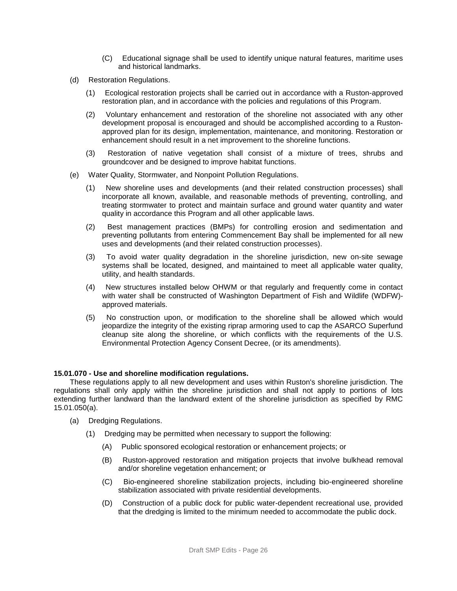- (C) Educational signage shall be used to identify unique natural features, maritime uses and historical landmarks.
- (d) Restoration Regulations.
	- (1) Ecological restoration projects shall be carried out in accordance with a Ruston-approved restoration plan, and in accordance with the policies and regulations of this Program.
	- (2) Voluntary enhancement and restoration of the shoreline not associated with any other development proposal is encouraged and should be accomplished according to a Rustonapproved plan for its design, implementation, maintenance, and monitoring. Restoration or enhancement should result in a net improvement to the shoreline functions.
	- (3) Restoration of native vegetation shall consist of a mixture of trees, shrubs and groundcover and be designed to improve habitat functions.
- (e) Water Quality, Stormwater, and Nonpoint Pollution Regulations.
	- (1) New shoreline uses and developments (and their related construction processes) shall incorporate all known, available, and reasonable methods of preventing, controlling, and treating stormwater to protect and maintain surface and ground water quantity and water quality in accordance this Program and all other applicable laws.
	- (2) Best management practices (BMPs) for controlling erosion and sedimentation and preventing pollutants from entering Commencement Bay shall be implemented for all new uses and developments (and their related construction processes).
	- (3) To avoid water quality degradation in the shoreline jurisdiction, new on-site sewage systems shall be located, designed, and maintained to meet all applicable water quality, utility, and health standards.
	- (4) New structures installed below OHWM or that regularly and frequently come in contact with water shall be constructed of Washington Department of Fish and Wildlife (WDFW) approved materials.
	- (5) No construction upon, or modification to the shoreline shall be allowed which would jeopardize the integrity of the existing riprap armoring used to cap the ASARCO Superfund cleanup site along the shoreline, or which conflicts with the requirements of the U.S. Environmental Protection Agency Consent Decree, (or its amendments).

#### **15.01.070 - Use and shoreline modification regulations.**

These regulations apply to all new development and uses within Ruston's shoreline jurisdiction. The regulations shall only apply within the shoreline jurisdiction and shall not apply to portions of lots extending further landward than the landward extent of the shoreline jurisdiction as specified by RMC 15.01.050(a).

- (a) Dredging Regulations.
	- (1) Dredging may be permitted when necessary to support the following:
		- (A) Public sponsored ecological restoration or enhancement projects; or
		- (B) Ruston-approved restoration and mitigation projects that involve bulkhead removal and/or shoreline vegetation enhancement; or
		- (C) Bio-engineered shoreline stabilization projects, including bio-engineered shoreline stabilization associated with private residential developments.
		- (D) Construction of a public dock for public water-dependent recreational use, provided that the dredging is limited to the minimum needed to accommodate the public dock.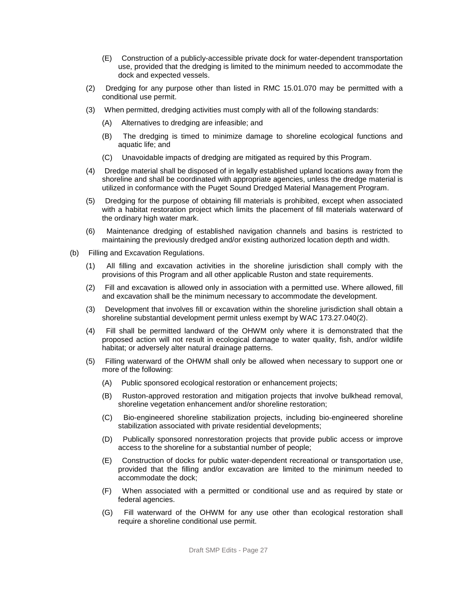- (E) Construction of a publicly-accessible private dock for water-dependent transportation use, provided that the dredging is limited to the minimum needed to accommodate the dock and expected vessels.
- (2) Dredging for any purpose other than listed in RMC 15.01.070 may be permitted with a conditional use permit.
- (3) When permitted, dredging activities must comply with all of the following standards:
	- (A) Alternatives to dredging are infeasible; and
	- (B) The dredging is timed to minimize damage to shoreline ecological functions and aquatic life; and
	- (C) Unavoidable impacts of dredging are mitigated as required by this Program.
- (4) Dredge material shall be disposed of in legally established upland locations away from the shoreline and shall be coordinated with appropriate agencies, unless the dredge material is utilized in conformance with the Puget Sound Dredged Material Management Program.
- (5) Dredging for the purpose of obtaining fill materials is prohibited, except when associated with a habitat restoration project which limits the placement of fill materials waterward of the ordinary high water mark.
- (6) Maintenance dredging of established navigation channels and basins is restricted to maintaining the previously dredged and/or existing authorized location depth and width.
- (b) Filling and Excavation Regulations.
	- (1) All filling and excavation activities in the shoreline jurisdiction shall comply with the provisions of this Program and all other applicable Ruston and state requirements.
	- (2) Fill and excavation is allowed only in association with a permitted use. Where allowed, fill and excavation shall be the minimum necessary to accommodate the development.
	- (3) Development that involves fill or excavation within the shoreline jurisdiction shall obtain a shoreline substantial development permit unless exempt by WAC 173.27.040(2).
	- (4) Fill shall be permitted landward of the OHWM only where it is demonstrated that the proposed action will not result in ecological damage to water quality, fish, and/or wildlife habitat; or adversely alter natural drainage patterns.
	- (5) Filling waterward of the OHWM shall only be allowed when necessary to support one or more of the following:
		- (A) Public sponsored ecological restoration or enhancement projects;
		- (B) Ruston-approved restoration and mitigation projects that involve bulkhead removal, shoreline vegetation enhancement and/or shoreline restoration;
		- (C) Bio-engineered shoreline stabilization projects, including bio-engineered shoreline stabilization associated with private residential developments;
		- (D) Publically sponsored nonrestoration projects that provide public access or improve access to the shoreline for a substantial number of people;
		- (E) Construction of docks for public water-dependent recreational or transportation use, provided that the filling and/or excavation are limited to the minimum needed to accommodate the dock;
		- (F) When associated with a permitted or conditional use and as required by state or federal agencies.
		- (G) Fill waterward of the OHWM for any use other than ecological restoration shall require a shoreline conditional use permit.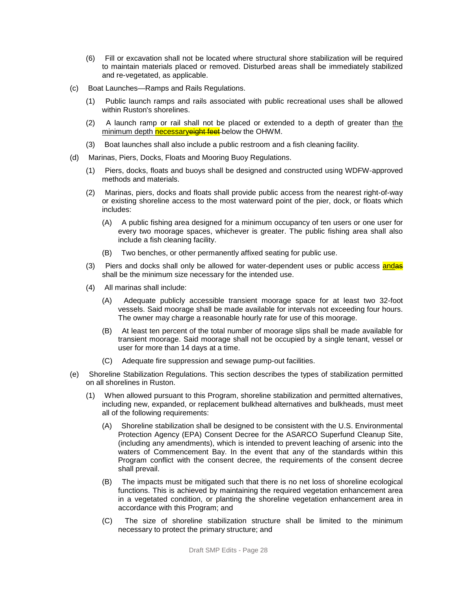- (6) Fill or excavation shall not be located where structural shore stabilization will be required to maintain materials placed or removed. Disturbed areas shall be immediately stabilized and re-vegetated, as applicable.
- (c) Boat Launches—Ramps and Rails Regulations.
	- (1) Public launch ramps and rails associated with public recreational uses shall be allowed within Ruston's shorelines.
	- (2) A launch ramp or rail shall not be placed or extended to a depth of greater than the minimum depth necessaryeight feet-below the OHWM.
	- (3) Boat launches shall also include a public restroom and a fish cleaning facility.
- (d) Marinas, Piers, Docks, Floats and Mooring Buoy Regulations.
	- (1) Piers, docks, floats and buoys shall be designed and constructed using WDFW-approved methods and materials.
	- (2) Marinas, piers, docks and floats shall provide public access from the nearest right-of-way or existing shoreline access to the most waterward point of the pier, dock, or floats which includes:
		- (A) A public fishing area designed for a minimum occupancy of ten users or one user for every two moorage spaces, whichever is greater. The public fishing area shall also include a fish cleaning facility.
		- (B) Two benches, or other permanently affixed seating for public use.
	- (3) Piers and docks shall only be allowed for water-dependent uses or public access and shall be the minimum size necessary for the intended use.
	- (4) All marinas shall include:
		- (A) Adequate publicly accessible transient moorage space for at least two 32-foot vessels. Said moorage shall be made available for intervals not exceeding four hours. The owner may charge a reasonable hourly rate for use of this moorage.
		- (B) At least ten percent of the total number of moorage slips shall be made available for transient moorage. Said moorage shall not be occupied by a single tenant, vessel or user for more than 14 days at a time.
		- (C) Adequate fire suppression and sewage pump-out facilities.
- (e) Shoreline Stabilization Regulations. This section describes the types of stabilization permitted on all shorelines in Ruston.
	- (1) When allowed pursuant to this Program, shoreline stabilization and permitted alternatives, including new, expanded, or replacement bulkhead alternatives and bulkheads, must meet all of the following requirements:
		- (A) Shoreline stabilization shall be designed to be consistent with the U.S. Environmental Protection Agency (EPA) Consent Decree for the ASARCO Superfund Cleanup Site, (including any amendments), which is intended to prevent leaching of arsenic into the waters of Commencement Bay. In the event that any of the standards within this Program conflict with the consent decree, the requirements of the consent decree shall prevail.
		- (B) The impacts must be mitigated such that there is no net loss of shoreline ecological functions. This is achieved by maintaining the required vegetation enhancement area in a vegetated condition, or planting the shoreline vegetation enhancement area in accordance with this Program; and
		- (C) The size of shoreline stabilization structure shall be limited to the minimum necessary to protect the primary structure; and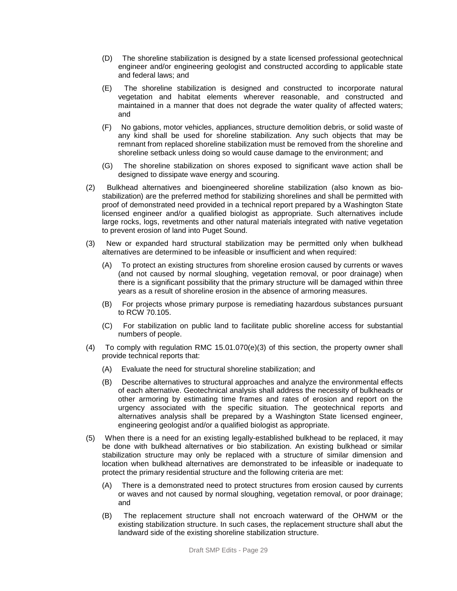- (D) The shoreline stabilization is designed by a state licensed professional geotechnical engineer and/or engineering geologist and constructed according to applicable state and federal laws; and
- (E) The shoreline stabilization is designed and constructed to incorporate natural vegetation and habitat elements wherever reasonable, and constructed and maintained in a manner that does not degrade the water quality of affected waters; and
- (F) No gabions, motor vehicles, appliances, structure demolition debris, or solid waste of any kind shall be used for shoreline stabilization. Any such objects that may be remnant from replaced shoreline stabilization must be removed from the shoreline and shoreline setback unless doing so would cause damage to the environment; and
- (G) The shoreline stabilization on shores exposed to significant wave action shall be designed to dissipate wave energy and scouring.
- (2) Bulkhead alternatives and bioengineered shoreline stabilization (also known as biostabilization) are the preferred method for stabilizing shorelines and shall be permitted with proof of demonstrated need provided in a technical report prepared by a Washington State licensed engineer and/or a qualified biologist as appropriate. Such alternatives include large rocks, logs, revetments and other natural materials integrated with native vegetation to prevent erosion of land into Puget Sound.
- (3) New or expanded hard structural stabilization may be permitted only when bulkhead alternatives are determined to be infeasible or insufficient and when required:
	- (A) To protect an existing structures from shoreline erosion caused by currents or waves (and not caused by normal sloughing, vegetation removal, or poor drainage) when there is a significant possibility that the primary structure will be damaged within three years as a result of shoreline erosion in the absence of armoring measures.
	- (B) For projects whose primary purpose is remediating hazardous substances pursuant to RCW 70.105.
	- (C) For stabilization on public land to facilitate public shoreline access for substantial numbers of people.
- (4) To comply with regulation RMC 15.01.070(e)(3) of this section, the property owner shall provide technical reports that:
	- (A) Evaluate the need for structural shoreline stabilization; and
	- (B) Describe alternatives to structural approaches and analyze the environmental effects of each alternative. Geotechnical analysis shall address the necessity of bulkheads or other armoring by estimating time frames and rates of erosion and report on the urgency associated with the specific situation. The geotechnical reports and alternatives analysis shall be prepared by a Washington State licensed engineer, engineering geologist and/or a qualified biologist as appropriate.
- (5) When there is a need for an existing legally-established bulkhead to be replaced, it may be done with bulkhead alternatives or bio stabilization. An existing bulkhead or similar stabilization structure may only be replaced with a structure of similar dimension and location when bulkhead alternatives are demonstrated to be infeasible or inadequate to protect the primary residential structure and the following criteria are met:
	- (A) There is a demonstrated need to protect structures from erosion caused by currents or waves and not caused by normal sloughing, vegetation removal, or poor drainage; and
	- (B) The replacement structure shall not encroach waterward of the OHWM or the existing stabilization structure. In such cases, the replacement structure shall abut the landward side of the existing shoreline stabilization structure.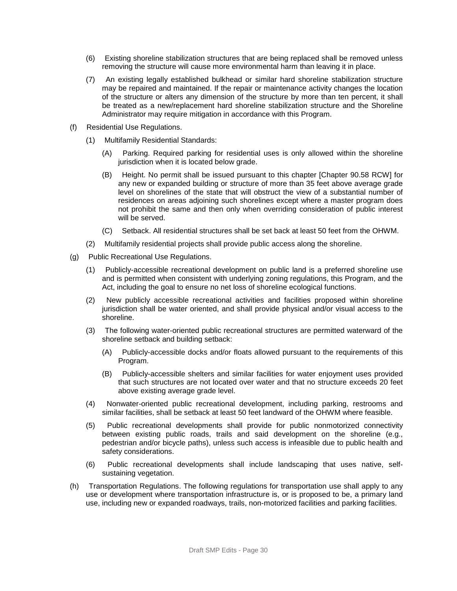- (6) Existing shoreline stabilization structures that are being replaced shall be removed unless removing the structure will cause more environmental harm than leaving it in place.
- (7) An existing legally established bulkhead or similar hard shoreline stabilization structure may be repaired and maintained. If the repair or maintenance activity changes the location of the structure or alters any dimension of the structure by more than ten percent, it shall be treated as a new/replacement hard shoreline stabilization structure and the Shoreline Administrator may require mitigation in accordance with this Program.
- (f) Residential Use Regulations.
	- (1) Multifamily Residential Standards:
		- (A) Parking. Required parking for residential uses is only allowed within the shoreline jurisdiction when it is located below grade.
		- (B) Height. No permit shall be issued pursuant to this chapter [Chapter 90.58 RCW] for any new or expanded building or structure of more than 35 feet above average grade level on shorelines of the state that will obstruct the view of a substantial number of residences on areas adjoining such shorelines except where a master program does not prohibit the same and then only when overriding consideration of public interest will be served.
		- (C) Setback. All residential structures shall be set back at least 50 feet from the OHWM.
	- (2) Multifamily residential projects shall provide public access along the shoreline.
- (g) Public Recreational Use Regulations.
	- (1) Publicly-accessible recreational development on public land is a preferred shoreline use and is permitted when consistent with underlying zoning regulations, this Program, and the Act, including the goal to ensure no net loss of shoreline ecological functions.
	- (2) New publicly accessible recreational activities and facilities proposed within shoreline jurisdiction shall be water oriented, and shall provide physical and/or visual access to the shoreline.
	- (3) The following water-oriented public recreational structures are permitted waterward of the shoreline setback and building setback:
		- (A) Publicly-accessible docks and/or floats allowed pursuant to the requirements of this Program.
		- (B) Publicly-accessible shelters and similar facilities for water enjoyment uses provided that such structures are not located over water and that no structure exceeds 20 feet above existing average grade level.
	- (4) Nonwater-oriented public recreational development, including parking, restrooms and similar facilities, shall be setback at least 50 feet landward of the OHWM where feasible.
	- (5) Public recreational developments shall provide for public nonmotorized connectivity between existing public roads, trails and said development on the shoreline (e.g., pedestrian and/or bicycle paths), unless such access is infeasible due to public health and safety considerations.
	- (6) Public recreational developments shall include landscaping that uses native, selfsustaining vegetation.
- (h) Transportation Regulations. The following regulations for transportation use shall apply to any use or development where transportation infrastructure is, or is proposed to be, a primary land use, including new or expanded roadways, trails, non-motorized facilities and parking facilities.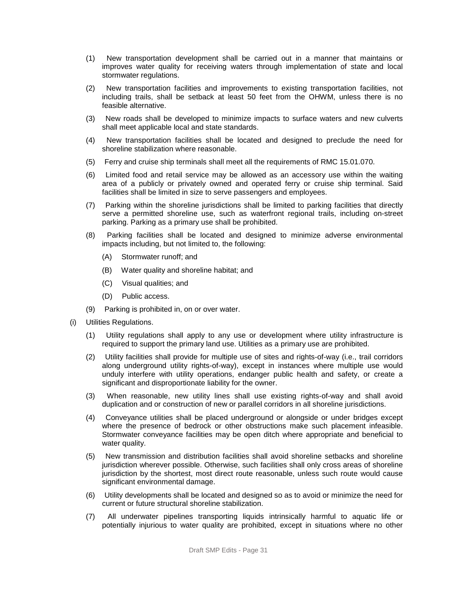- (1) New transportation development shall be carried out in a manner that maintains or improves water quality for receiving waters through implementation of state and local stormwater regulations.
- (2) New transportation facilities and improvements to existing transportation facilities, not including trails, shall be setback at least 50 feet from the OHWM, unless there is no feasible alternative.
- (3) New roads shall be developed to minimize impacts to surface waters and new culverts shall meet applicable local and state standards.
- (4) New transportation facilities shall be located and designed to preclude the need for shoreline stabilization where reasonable.
- (5) Ferry and cruise ship terminals shall meet all the requirements of RMC 15.01.070.
- (6) Limited food and retail service may be allowed as an accessory use within the waiting area of a publicly or privately owned and operated ferry or cruise ship terminal. Said facilities shall be limited in size to serve passengers and employees.
- (7) Parking within the shoreline jurisdictions shall be limited to parking facilities that directly serve a permitted shoreline use, such as waterfront regional trails, including on-street parking. Parking as a primary use shall be prohibited.
- (8) Parking facilities shall be located and designed to minimize adverse environmental impacts including, but not limited to, the following:
	- (A) Stormwater runoff; and
	- (B) Water quality and shoreline habitat; and
	- (C) Visual qualities; and
	- (D) Public access.
- (9) Parking is prohibited in, on or over water.
- (i) Utilities Regulations.
	- (1) Utility regulations shall apply to any use or development where utility infrastructure is required to support the primary land use. Utilities as a primary use are prohibited.
	- (2) Utility facilities shall provide for multiple use of sites and rights-of-way (i.e., trail corridors along underground utility rights-of-way), except in instances where multiple use would unduly interfere with utility operations, endanger public health and safety, or create a significant and disproportionate liability for the owner.
	- (3) When reasonable, new utility lines shall use existing rights-of-way and shall avoid duplication and or construction of new or parallel corridors in all shoreline jurisdictions.
	- (4) Conveyance utilities shall be placed underground or alongside or under bridges except where the presence of bedrock or other obstructions make such placement infeasible. Stormwater conveyance facilities may be open ditch where appropriate and beneficial to water quality.
	- (5) New transmission and distribution facilities shall avoid shoreline setbacks and shoreline jurisdiction wherever possible. Otherwise, such facilities shall only cross areas of shoreline jurisdiction by the shortest, most direct route reasonable, unless such route would cause significant environmental damage.
	- (6) Utility developments shall be located and designed so as to avoid or minimize the need for current or future structural shoreline stabilization.
	- (7) All underwater pipelines transporting liquids intrinsically harmful to aquatic life or potentially injurious to water quality are prohibited, except in situations where no other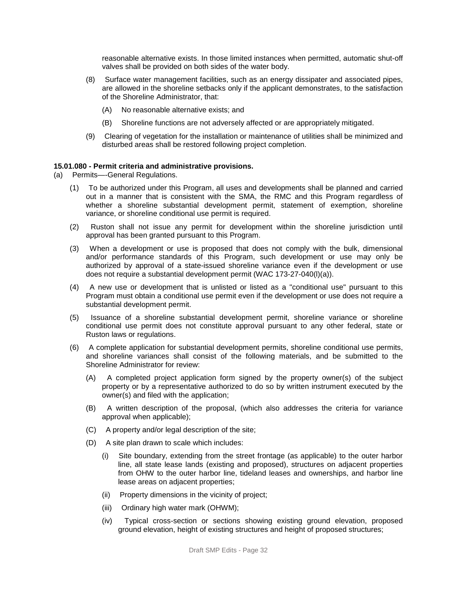reasonable alternative exists. In those limited instances when permitted, automatic shut-off valves shall be provided on both sides of the water body.

- (8) Surface water management facilities, such as an energy dissipater and associated pipes, are allowed in the shoreline setbacks only if the applicant demonstrates, to the satisfaction of the Shoreline Administrator, that:
	- (A) No reasonable alternative exists; and
	- (B) Shoreline functions are not adversely affected or are appropriately mitigated.
- (9) Clearing of vegetation for the installation or maintenance of utilities shall be minimized and disturbed areas shall be restored following project completion.

#### **15.01.080 - Permit criteria and administrative provisions.**

- (a) Permits—-General Regulations.
	- (1) To be authorized under this Program, all uses and developments shall be planned and carried out in a manner that is consistent with the SMA, the RMC and this Program regardless of whether a shoreline substantial development permit, statement of exemption, shoreline variance, or shoreline conditional use permit is required.
	- (2) Ruston shall not issue any permit for development within the shoreline jurisdiction until approval has been granted pursuant to this Program.
	- (3) When a development or use is proposed that does not comply with the bulk, dimensional and/or performance standards of this Program, such development or use may only be authorized by approval of a state-issued shoreline variance even if the development or use does not require a substantial development permit (WAC 173-27-040(l)(a)).
	- (4) A new use or development that is unlisted or listed as a "conditional use" pursuant to this Program must obtain a conditional use permit even if the development or use does not require a substantial development permit.
	- (5) Issuance of a shoreline substantial development permit, shoreline variance or shoreline conditional use permit does not constitute approval pursuant to any other federal, state or Ruston laws or regulations.
	- (6) A complete application for substantial development permits, shoreline conditional use permits, and shoreline variances shall consist of the following materials, and be submitted to the Shoreline Administrator for review:
		- (A) A completed project application form signed by the property owner(s) of the subject property or by a representative authorized to do so by written instrument executed by the owner(s) and filed with the application;
		- (B) A written description of the proposal, (which also addresses the criteria for variance approval when applicable);
		- (C) A property and/or legal description of the site;
		- (D) A site plan drawn to scale which includes:
			- (i) Site boundary, extending from the street frontage (as applicable) to the outer harbor line, all state lease lands (existing and proposed), structures on adjacent properties from OHW to the outer harbor line, tideland leases and ownerships, and harbor line lease areas on adjacent properties;
			- (ii) Property dimensions in the vicinity of project;
			- (iii) Ordinary high water mark (OHWM);
			- (iv) Typical cross-section or sections showing existing ground elevation, proposed ground elevation, height of existing structures and height of proposed structures;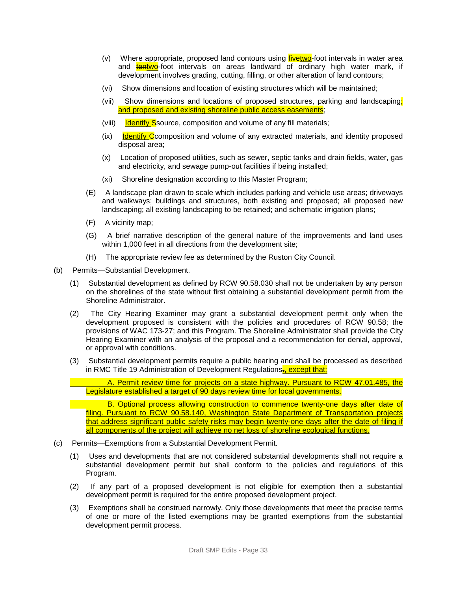- (v) Where appropriate, proposed land contours using  $f_{\text{i}}$  intervals in water area and **tentwo-foot intervals on areas landward of ordinary high water mark, if** development involves grading, cutting, filling, or other alteration of land contours;
- (vi) Show dimensions and location of existing structures which will be maintained;
- (vii) Show dimensions and locations of proposed structures, parking and landscaping; and proposed and existing shoreline public access easements;
- (viii) Identify Ssource, composition and volume of any fill materials;
- $f(x)$  Identify C composition and volume of any extracted materials, and identity proposed disposal area;
- (x) Location of proposed utilities, such as sewer, septic tanks and drain fields, water, gas and electricity, and sewage pump-out facilities if being installed;
- (xi) Shoreline designation according to this Master Program;
- (E) A landscape plan drawn to scale which includes parking and vehicle use areas; driveways and walkways; buildings and structures, both existing and proposed; all proposed new landscaping; all existing landscaping to be retained; and schematic irrigation plans;
- (F) A vicinity map;
- (G) A brief narrative description of the general nature of the improvements and land uses within 1,000 feet in all directions from the development site;
- (H) The appropriate review fee as determined by the Ruston City Council.
- (b) Permits—Substantial Development.
	- (1) Substantial development as defined by RCW 90.58.030 shall not be undertaken by any person on the shorelines of the state without first obtaining a substantial development permit from the Shoreline Administrator.
	- (2) The City Hearing Examiner may grant a substantial development permit only when the development proposed is consistent with the policies and procedures of RCW 90.58; the provisions of WAC 173-27; and this Program. The Shoreline Administrator shall provide the City Hearing Examiner with an analysis of the proposal and a recommendation for denial, approval, or approval with conditions.
	- (3) Substantial development permits require a public hearing and shall be processed as described in RMC Title 19 Administration of Development Regulations<sub>E, except that;</sub>

A. Permit review time for projects on a state highway. Pursuant to RCW 47.01.485, the Legislature established a target of 90 days review time for local governments.

B. Optional process allowing construction to commence twenty-one days after date of filing. Pursuant to RCW 90.58.140, Washington State Department of Transportation projects that address significant public safety risks may begin twenty-one days after the date of filing if all components of the project will achieve no net loss of shoreline ecological functions.

- (c) Permits—Exemptions from a Substantial Development Permit.
	- (1) Uses and developments that are not considered substantial developments shall not require a substantial development permit but shall conform to the policies and regulations of this Program.
	- (2) If any part of a proposed development is not eligible for exemption then a substantial development permit is required for the entire proposed development project.
	- (3) Exemptions shall be construed narrowly. Only those developments that meet the precise terms of one or more of the listed exemptions may be granted exemptions from the substantial development permit process.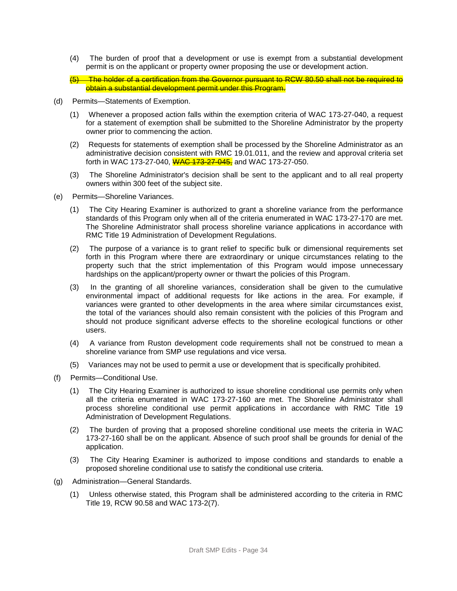- (4) The burden of proof that a development or use is exempt from a substantial development permit is on the applicant or property owner proposing the use or development action.
- (5) The holder of a certification from the Governor pursuant to RCW 80.50 shall not be required to obtain a substantial development permit under this Program.
- (d) Permits—Statements of Exemption.
	- (1) Whenever a proposed action falls within the exemption criteria of WAC 173-27-040, a request for a statement of exemption shall be submitted to the Shoreline Administrator by the property owner prior to commencing the action.
	- (2) Requests for statements of exemption shall be processed by the Shoreline Administrator as an administrative decision consistent with RMC 19.01.011, and the review and approval criteria set forth in WAC 173-27-040, WAC 173-27-045, and WAC 173-27-050.
	- (3) The Shoreline Administrator's decision shall be sent to the applicant and to all real property owners within 300 feet of the subject site.
- (e) Permits—Shoreline Variances.
	- (1) The City Hearing Examiner is authorized to grant a shoreline variance from the performance standards of this Program only when all of the criteria enumerated in WAC 173-27-170 are met. The Shoreline Administrator shall process shoreline variance applications in accordance with RMC Title 19 Administration of Development Regulations.
	- (2) The purpose of a variance is to grant relief to specific bulk or dimensional requirements set forth in this Program where there are extraordinary or unique circumstances relating to the property such that the strict implementation of this Program would impose unnecessary hardships on the applicant/property owner or thwart the policies of this Program.
	- (3) In the granting of all shoreline variances, consideration shall be given to the cumulative environmental impact of additional requests for like actions in the area. For example, if variances were granted to other developments in the area where similar circumstances exist, the total of the variances should also remain consistent with the policies of this Program and should not produce significant adverse effects to the shoreline ecological functions or other users.
	- (4) A variance from Ruston development code requirements shall not be construed to mean a shoreline variance from SMP use regulations and vice versa.
	- (5) Variances may not be used to permit a use or development that is specifically prohibited.
- (f) Permits—Conditional Use.
	- (1) The City Hearing Examiner is authorized to issue shoreline conditional use permits only when all the criteria enumerated in WAC 173-27-160 are met. The Shoreline Administrator shall process shoreline conditional use permit applications in accordance with RMC Title 19 Administration of Development Regulations.
	- (2) The burden of proving that a proposed shoreline conditional use meets the criteria in WAC 173-27-160 shall be on the applicant. Absence of such proof shall be grounds for denial of the application.
	- (3) The City Hearing Examiner is authorized to impose conditions and standards to enable a proposed shoreline conditional use to satisfy the conditional use criteria.
- (g) Administration—General Standards.
	- (1) Unless otherwise stated, this Program shall be administered according to the criteria in RMC Title 19, RCW 90.58 and WAC 173-2(7).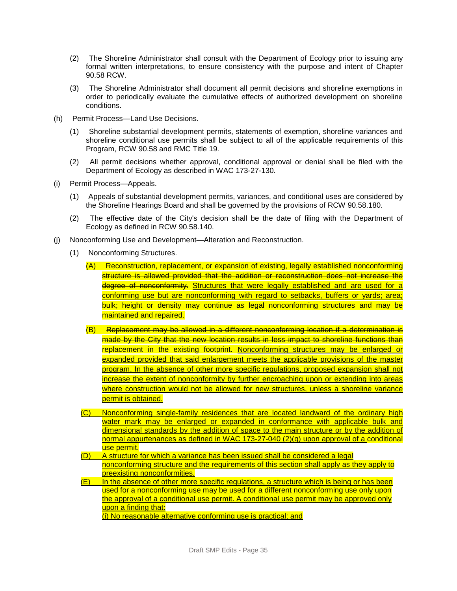- (2) The Shoreline Administrator shall consult with the Department of Ecology prior to issuing any formal written interpretations, to ensure consistency with the purpose and intent of Chapter 90.58 RCW.
- (3) The Shoreline Administrator shall document all permit decisions and shoreline exemptions in order to periodically evaluate the cumulative effects of authorized development on shoreline conditions.
- (h) Permit Process—Land Use Decisions.
	- (1) Shoreline substantial development permits, statements of exemption, shoreline variances and shoreline conditional use permits shall be subject to all of the applicable requirements of this Program, RCW 90.58 and RMC Title 19.
	- (2) All permit decisions whether approval, conditional approval or denial shall be filed with the Department of Ecology as described in WAC 173-27-130.
- (i) Permit Process—Appeals.
	- (1) Appeals of substantial development permits, variances, and conditional uses are considered by the Shoreline Hearings Board and shall be governed by the provisions of RCW 90.58.180.
	- (2) The effective date of the City's decision shall be the date of filing with the Department of Ecology as defined in RCW 90.58.140.
- (j) Nonconforming Use and Development—Alteration and Reconstruction.
	- (1) Nonconforming Structures.
		- (A) Reconstruction, replacement, or expansion of existing, legally established nonconforming structure is allowed provided that the addition or reconstruction does not increase the degree of nonconformity. Structures that were legally established and are used for a conforming use but are nonconforming with regard to setbacks, buffers or yards; area; bulk; height or density may continue as legal nonconforming structures and may be maintained and repaired.
		- (B) Replacement may be allowed in a different nonconforming location if a determination is made by the City that the new location results in less impact to shoreline functions than replacement in the existing footprint. Nonconforming structures may be enlarged or expanded provided that said enlargement meets the applicable provisions of the master program. In the absence of other more specific regulations, proposed expansion shall not increase the extent of nonconformity by further encroaching upon or extending into areas where construction would not be allowed for new structures, unless a shoreline variance permit is obtained.
		- (C) Nonconforming single-family residences that are located landward of the ordinary high water mark may be enlarged or expanded in conformance with applicable bulk and dimensional standards by the addition of space to the main structure or by the addition of normal appurtenances as defined in WAC 173-27-040 (2)(g) upon approval of a conditional use permit.
		- (D) A structure for which a variance has been issued shall be considered a legal nonconforming structure and the requirements of this section shall apply as they apply to preexisting nonconformities.
		- (E) In the absence of other more specific regulations, a structure which is being or has been used for a nonconforming use may be used for a different nonconforming use only upon the approval of a conditional use permit. A conditional use permit may be approved only upon a finding that:

(i) No reasonable alternative conforming use is practical; and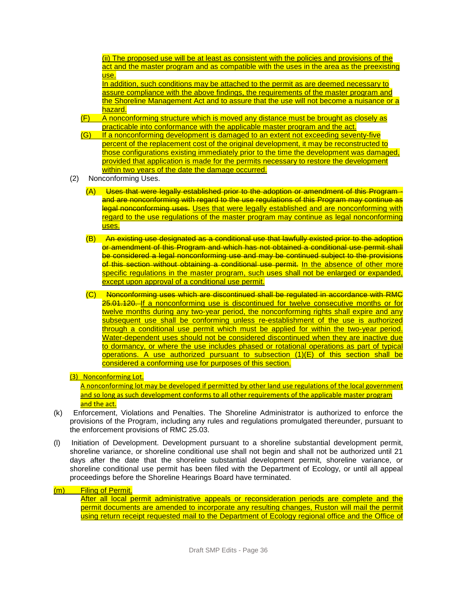(ii) The proposed use will be at least as consistent with the policies and provisions of the act and the master program and as compatible with the uses in the area as the preexisting use.

In addition, such conditions may be attached to the permit as are deemed necessary to assure compliance with the above findings, the requirements of the master program and the Shoreline Management Act and to assure that the use will not become a nuisance or a hazard.

- (F) A nonconforming structure which is moved any distance must be brought as closely as practicable into conformance with the applicable master program and the act.
- (G) If a nonconforming development is damaged to an extent not exceeding seventy-five percent of the replacement cost of the original development, it may be reconstructed to those configurations existing immediately prior to the time the development was damaged, provided that application is made for the permits necessary to restore the development within two years of the date the damage occurred.
- (2) Nonconforming Uses.
	- (A) Uses that were legally established prior to the adoption or amendment of this Program and are nonconforming with regard to the use regulations of this Program may continue as legal nonconforming uses. Uses that were legally established and are nonconforming with regard to the use regulations of the master program may continue as legal nonconforming uses.
	- (B) An existing use designated as a conditional use that lawfully existed prior to the adoption or amendment of this Program and which has not obtained a conditional use permit shall be considered a legal nonconforming use and may be continued subject to the provisions of this section without obtaining a conditional use permit. In the absence of other more specific regulations in the master program, such uses shall not be enlarged or expanded, except upon approval of a conditional use permit.
	- (C) Nonconforming uses which are discontinued shall be regulated in accordance with RMC 25.01.120. If a nonconforming use is discontinued for twelve consecutive months or for twelve months during any two-year period, the nonconforming rights shall expire and any subsequent use shall be conforming unless re-establishment of the use is authorized through a conditional use permit which must be applied for within the two-year period. Water-dependent uses should not be considered discontinued when they are inactive due to dormancy, or where the use includes phased or rotational operations as part of typical operations. A use authorized pursuant to subsection  $(1)(E)$  of this section shall be considered a conforming use for purposes of this section.

#### (3) Nonconforming Lot.

A nonconforming lot may be developed if permitted by other land use regulations of the local government and so long as such development conforms to all other requirements of the applicable master program and the act.

- (k) Enforcement, Violations and Penalties. The Shoreline Administrator is authorized to enforce the provisions of the Program, including any rules and regulations promulgated thereunder, pursuant to the enforcement provisions of RMC 25.03.
- (l) Initiation of Development. Development pursuant to a shoreline substantial development permit, shoreline variance, or shoreline conditional use shall not begin and shall not be authorized until 21 days after the date that the shoreline substantial development permit, shoreline variance, or shoreline conditional use permit has been filed with the Department of Ecology, or until all appeal proceedings before the Shoreline Hearings Board have terminated.

#### (m) Filing of Permit.

After all local permit administrative appeals or reconsideration periods are complete and the permit documents are amended to incorporate any resulting changes, Ruston will mail the permit using return receipt requested mail to the Department of Ecology regional office and the Office of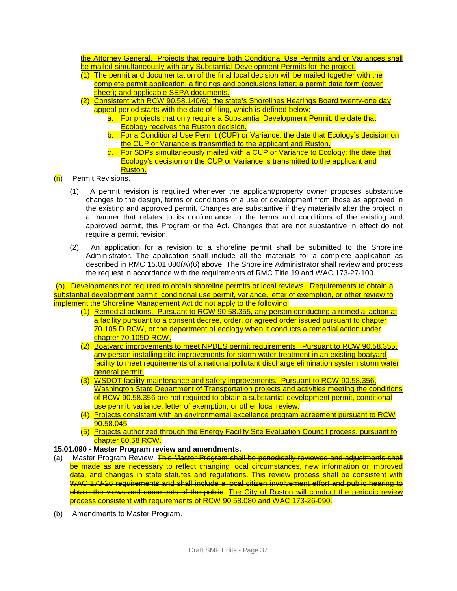the Attorney General. Projects that require both Conditional Use Permits and or Variances shall be mailed simultaneously with any Substantial Development Permits for the project.

- (1) The permit and documentation of the final local decision will be mailed together with the complete permit application; a findings and conclusions letter; a permit data form (cover sheet); and applicable SEPA documents.
- (2) Consistent with RCW 90.58.140(6), the state's Shorelines Hearings Board twenty-one day appeal period starts with the date of filing, which is defined below:
	- a. For projects that only require a Substantial Development Permit: the date that **Ecology receives the Ruston decision.**
	- b. For a Conditional Use Permit (CUP) or Variance: the date that Ecology's decision on the CUP or Variance is transmitted to the applicant and Ruston.
	- c. For SDPs simultaneously mailed with a CUP or Variance to Ecology: the date that Ecology's decision on the CUP or Variance is transmitted to the applicant and Ruston.
- (n) Permit Revisions.
	- (1) A permit revision is required whenever the applicant/property owner proposes substantive changes to the design, terms or conditions of a use or development from those as approved in the existing and approved permit. Changes are substantive if they materially alter the project in a manner that relates to its conformance to the terms and conditions of the existing and approved permit, this Program or the Act. Changes that are not substantive in effect do not require a permit revision.
	- (2) An application for a revision to a shoreline permit shall be submitted to the Shoreline Administrator. The application shall include all the materials for a complete application as described in RMC 15.01.080(A)(6) above. The Shoreline Administrator shall review and process the request in accordance with the requirements of RMC Title 19 and WAC 173-27-100.

(o) Developments not required to obtain shoreline permits or local reviews. Requirements to obtain a substantial development permit, conditional use permit, variance, letter of exemption, or other review to implement the Shoreline Management Act do not apply to the following:

- (1) Remedial actions. Pursuant to RCW 90.58.355, any person conducting a remedial action at a facility pursuant to a consent decree, order, or agreed order issued pursuant to chapter 70.105.D RCW, or the department of ecology when it conducts a remedial action under chapter 70.105D RCW.
- (2) Boatyard improvements to meet NPDES permit requirements. Pursuant to RCW 90.58.355, any person installing site improvements for storm water treatment in an existing boatyard facility to meet requirements of a national pollutant discharge elimination system storm water aeneral permit.
- (3) WSDOT facility maintenance and safety improvements. Pursuant to RCW 90.58.356, Washington State Department of Transportation projects and activities meeting the conditions of RCW 90.58.356 are not required to obtain a substantial development permit, conditional use permit, variance, letter of exemption, or other local review.
- (4) Projects consistent with an environmental excellence program agreement pursuant to RCW 90.58.045
- (5) Projects authorized through the Energy Facility Site Evaluation Council process, pursuant to chapter 80.58 RCW.

#### **15.01.090 - Master Program review and amendments.**

- (a) Master Program Review. This Master Program shall be periodically reviewed and adjustments shall be made as are necessary to reflect changing local circumstances, new information or improved data, and changes in state statutes and regulations. This review process shall be consistent with WAC 173-26 requirements and shall include a local citizen involvement effort and public hearing to obtain the views and comments of the public. The City of Ruston will conduct the periodic review process consistent with requirements of RCW 90.58.080 and WAC 173-26-090.
- (b) Amendments to Master Program.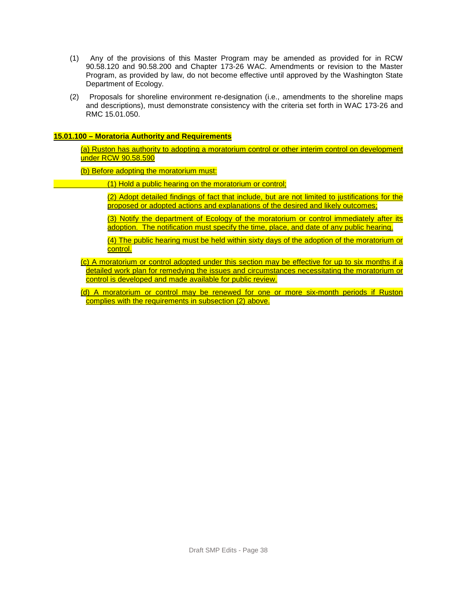- (1) Any of the provisions of this Master Program may be amended as provided for in RCW 90.58.120 and 90.58.200 and Chapter 173-26 WAC. Amendments or revision to the Master Program, as provided by law, do not become effective until approved by the Washington State Department of Ecology.
- (2) Proposals for shoreline environment re-designation (i.e., amendments to the shoreline maps and descriptions), must demonstrate consistency with the criteria set forth in WAC 173-26 and RMC 15.01.050.

#### **15.01.100 – Moratoria Authority and Requirements**

(a) Ruston has authority to adopting a moratorium control or other interim control on development under RCW 90.58.590

(b) Before adopting the moratorium must:

- (1) Hold a public hearing on the moratorium or control;
	- (2) Adopt detailed findings of fact that include, but are not limited to justifications for the proposed or adopted actions and explanations of the desired and likely outcomes;
	- (3) Notify the department of Ecology of the moratorium or control immediately after its adoption. The notification must specify the time, place, and date of any public hearing.

(4) The public hearing must be held within sixty days of the adoption of the moratorium or control.

- (c) A moratorium or control adopted under this section may be effective for up to six months if a detailed work plan for remedying the issues and circumstances necessitating the moratorium or control is developed and made available for public review.
- (d) A moratorium or control may be renewed for one or more six-month periods if Ruston complies with the requirements in subsection (2) above.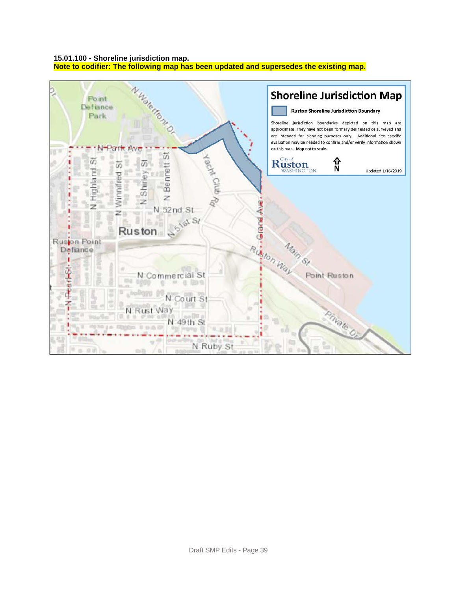#### **15.01.100 - Shoreline jurisdiction map.**

**Note to codifier: The following map has been updated and supersedes the existing map.**

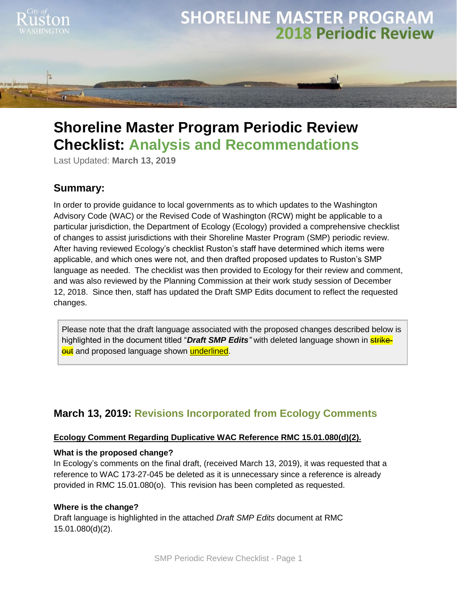

# **Shoreline Master Program Periodic Review Checklist: Analysis and Recommendations**

Last Updated: **March 13, 2019**

# **Summary:**

In order to provide guidance to local governments as to which updates to the Washington Advisory Code (WAC) or the Revised Code of Washington (RCW) might be applicable to a particular jurisdiction, the Department of Ecology (Ecology) provided a comprehensive checklist of changes to assist jurisdictions with their Shoreline Master Program (SMP) periodic review. After having reviewed Ecology's checklist Ruston's staff have determined which items were applicable, and which ones were not, and then drafted proposed updates to Ruston's SMP language as needed. The checklist was then provided to Ecology for their review and comment, and was also reviewed by the Planning Commission at their work study session of December 12, 2018. Since then, staff has updated the Draft SMP Edits document to reflect the requested changes.

Please note that the draft language associated with the proposed changes described below is highlighted in the document titled "*Draft SMP Edits*" with deleted language shown in **strikeout** and proposed language shown underlined.

# **March 13, 2019: Revisions Incorporated from Ecology Comments**

# **Ecology Comment Regarding Duplicative WAC Reference RMC 15.01.080(d)(2).**

# **What is the proposed change?**

In Ecology's comments on the final draft, (received March 13, 2019), it was requested that a reference to WAC 173-27-045 be deleted as it is unnecessary since a reference is already provided in RMC 15.01.080(o). This revision has been completed as requested.

# **Where is the change?**

Draft language is highlighted in the attached *Draft SMP Edits* document at RMC 15.01.080(d)(2).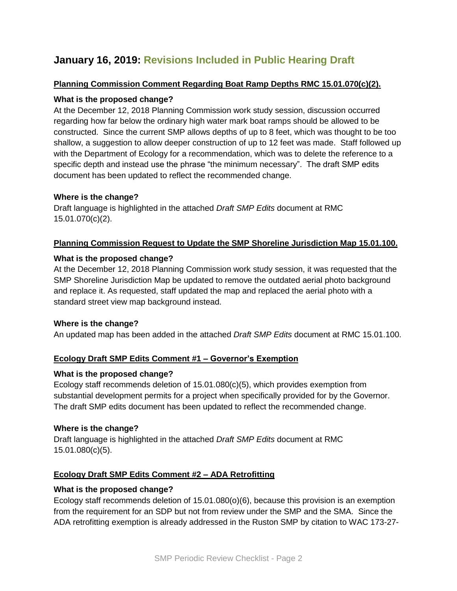# **January 16, 2019: Revisions Included in Public Hearing Draft**

# **Planning Commission Comment Regarding Boat Ramp Depths RMC 15.01.070(c)(2).**

# **What is the proposed change?**

At the December 12, 2018 Planning Commission work study session, discussion occurred regarding how far below the ordinary high water mark boat ramps should be allowed to be constructed. Since the current SMP allows depths of up to 8 feet, which was thought to be too shallow, a suggestion to allow deeper construction of up to 12 feet was made. Staff followed up with the Department of Ecology for a recommendation, which was to delete the reference to a specific depth and instead use the phrase "the minimum necessary". The draft SMP edits document has been updated to reflect the recommended change.

# **Where is the change?**

Draft language is highlighted in the attached *Draft SMP Edits* document at RMC 15.01.070(c)(2).

# **Planning Commission Request to Update the SMP Shoreline Jurisdiction Map 15.01.100.**

# **What is the proposed change?**

At the December 12, 2018 Planning Commission work study session, it was requested that the SMP Shoreline Jurisdiction Map be updated to remove the outdated aerial photo background and replace it. As requested, staff updated the map and replaced the aerial photo with a standard street view map background instead.

# **Where is the change?**

An updated map has been added in the attached *Draft SMP Edits* document at RMC 15.01.100.

# **Ecology Draft SMP Edits Comment #1 – Governor's Exemption**

# **What is the proposed change?**

Ecology staff recommends deletion of 15.01.080(c)(5), which provides exemption from substantial development permits for a project when specifically provided for by the Governor. The draft SMP edits document has been updated to reflect the recommended change.

# **Where is the change?**

Draft language is highlighted in the attached *Draft SMP Edits* document at RMC 15.01.080(c)(5).

# **Ecology Draft SMP Edits Comment #2 – ADA Retrofitting**

# **What is the proposed change?**

Ecology staff recommends deletion of 15.01.080(o)(6), because this provision is an exemption from the requirement for an SDP but not from review under the SMP and the SMA. Since the ADA retrofitting exemption is already addressed in the Ruston SMP by citation to WAC 173-27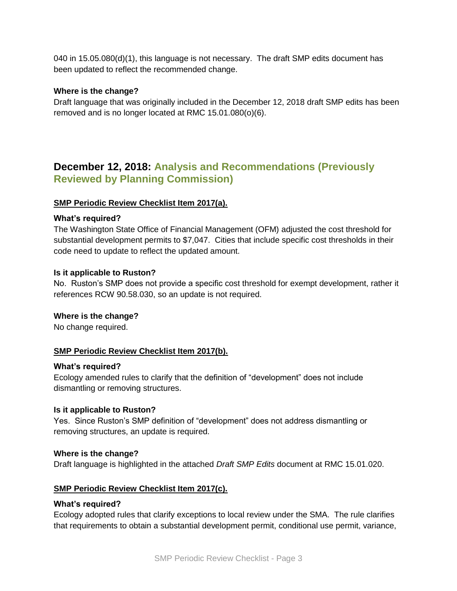040 in 15.05.080(d)(1), this language is not necessary. The draft SMP edits document has been updated to reflect the recommended change.

# **Where is the change?**

Draft language that was originally included in the December 12, 2018 draft SMP edits has been removed and is no longer located at RMC 15.01.080(o)(6).

# **December 12, 2018: Analysis and Recommendations (Previously Reviewed by Planning Commission)**

#### **SMP Periodic Review Checklist Item 2017(a).**

#### **What's required?**

The Washington State Office of Financial Management (OFM) adjusted the cost threshold for substantial development permits to \$7,047. Cities that include specific cost thresholds in their code need to update to reflect the updated amount.

#### **Is it applicable to Ruston?**

No. Ruston's SMP does not provide a specific cost threshold for exempt development, rather it references RCW 90.58.030, so an update is not required.

#### **Where is the change?**

No change required.

# **SMP Periodic Review Checklist Item 2017(b).**

#### **What's required?**

Ecology amended rules to clarify that the definition of "development" does not include dismantling or removing structures.

# **Is it applicable to Ruston?**

Yes. Since Ruston's SMP definition of "development" does not address dismantling or removing structures, an update is required.

#### **Where is the change?**

Draft language is highlighted in the attached *Draft SMP Edits* document at RMC 15.01.020.

#### **SMP Periodic Review Checklist Item 2017(c).**

#### **What's required?**

Ecology adopted rules that clarify exceptions to local review under the SMA. The rule clarifies that requirements to obtain a substantial development permit, conditional use permit, variance,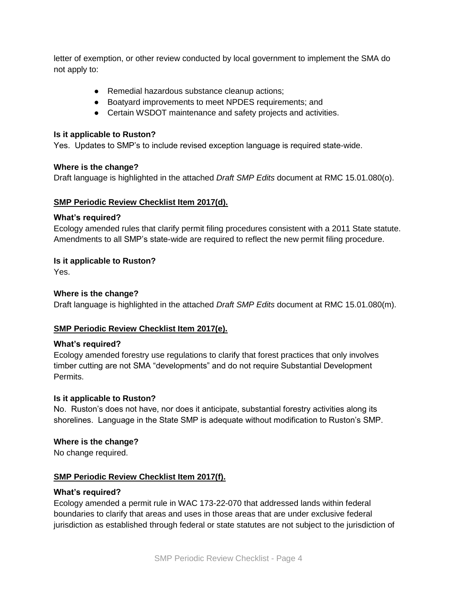letter of exemption, or other review conducted by local government to implement the SMA do not apply to:

- Remedial hazardous substance cleanup actions:
- Boatyard improvements to meet NPDES requirements; and
- Certain WSDOT maintenance and safety projects and activities.

#### **Is it applicable to Ruston?**

Yes. Updates to SMP's to include revised exception language is required state-wide.

#### **Where is the change?**

Draft language is highlighted in the attached *Draft SMP Edits* document at RMC 15.01.080(o).

#### **SMP Periodic Review Checklist Item 2017(d).**

#### **What's required?**

Ecology amended rules that clarify permit filing procedures consistent with a 2011 State statute. Amendments to all SMP's state-wide are required to reflect the new permit filing procedure.

# **Is it applicable to Ruston?**

Yes.

# **Where is the change?**

Draft language is highlighted in the attached *Draft SMP Edits* document at RMC 15.01.080(m).

# **SMP Periodic Review Checklist Item 2017(e).**

#### **What's required?**

Ecology amended forestry use regulations to clarify that forest practices that only involves timber cutting are not SMA "developments" and do not require Substantial Development Permits.

#### **Is it applicable to Ruston?**

No. Ruston's does not have, nor does it anticipate, substantial forestry activities along its shorelines. Language in the State SMP is adequate without modification to Ruston's SMP.

# **Where is the change?**

No change required.

# **SMP Periodic Review Checklist Item 2017(f).**

#### **What's required?**

Ecology amended a permit rule in WAC 173-22-070 that addressed lands within federal boundaries to clarify that areas and uses in those areas that are under exclusive federal jurisdiction as established through federal or state statutes are not subject to the jurisdiction of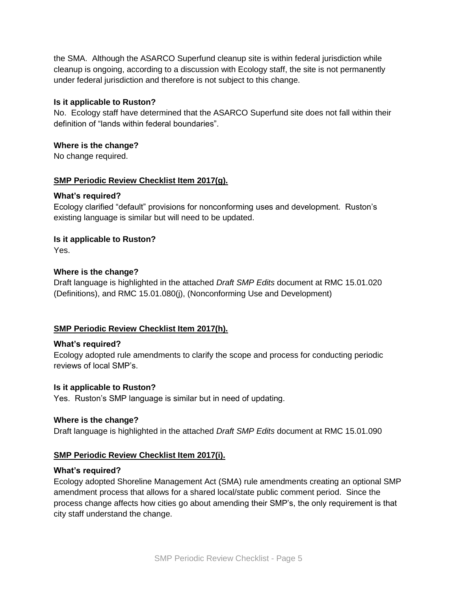the SMA. Although the ASARCO Superfund cleanup site is within federal jurisdiction while cleanup is ongoing, according to a discussion with Ecology staff, the site is not permanently under federal jurisdiction and therefore is not subject to this change.

# **Is it applicable to Ruston?**

No. Ecology staff have determined that the ASARCO Superfund site does not fall within their definition of "lands within federal boundaries".

# **Where is the change?**

No change required.

# **SMP Periodic Review Checklist Item 2017(g).**

# **What's required?**

Ecology clarified "default" provisions for nonconforming uses and development. Ruston's existing language is similar but will need to be updated.

# **Is it applicable to Ruston?**

Yes.

# **Where is the change?**

Draft language is highlighted in the attached *Draft SMP Edits* document at RMC 15.01.020 (Definitions), and RMC 15.01.080(j), (Nonconforming Use and Development)

# **SMP Periodic Review Checklist Item 2017(h).**

# **What's required?**

Ecology adopted rule amendments to clarify the scope and process for conducting periodic reviews of local SMP's.

# **Is it applicable to Ruston?**

Yes. Ruston's SMP language is similar but in need of updating.

# **Where is the change?**

Draft language is highlighted in the attached *Draft SMP Edits* document at RMC 15.01.090

# **SMP Periodic Review Checklist Item 2017(i).**

# **What's required?**

Ecology adopted Shoreline Management Act (SMA) rule amendments creating an optional SMP amendment process that allows for a shared local/state public comment period. Since the process change affects how cities go about amending their SMP's, the only requirement is that city staff understand the change.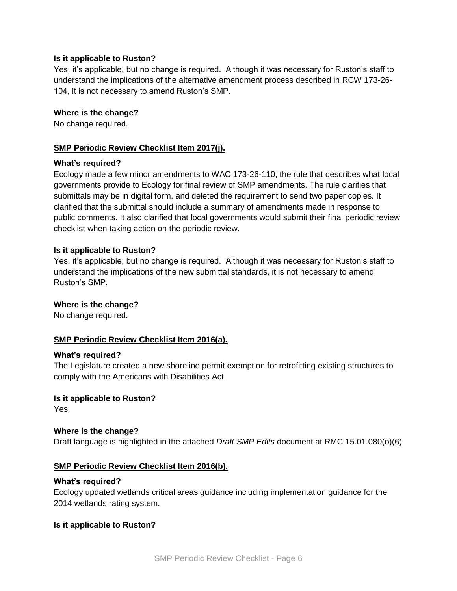#### **Is it applicable to Ruston?**

Yes, it's applicable, but no change is required. Although it was necessary for Ruston's staff to understand the implications of the alternative amendment process described in RCW 173-26- 104, it is not necessary to amend Ruston's SMP.

#### **Where is the change?**

No change required.

### **SMP Periodic Review Checklist Item 2017(j).**

#### **What's required?**

Ecology made a few minor amendments to WAC 173-26-110, the rule that describes what local governments provide to Ecology for final review of SMP amendments. The rule clarifies that submittals may be in digital form, and deleted the requirement to send two paper copies. It clarified that the submittal should include a summary of amendments made in response to public comments. It also clarified that local governments would submit their final periodic review checklist when taking action on the periodic review.

#### **Is it applicable to Ruston?**

Yes, it's applicable, but no change is required. Although it was necessary for Ruston's staff to understand the implications of the new submittal standards, it is not necessary to amend Ruston's SMP.

#### **Where is the change?**

No change required.

# **SMP Periodic Review Checklist Item 2016(a).**

#### **What's required?**

The Legislature created a new shoreline permit exemption for retrofitting existing structures to comply with the Americans with Disabilities Act.

# **Is it applicable to Ruston?**

Yes.

# **Where is the change?**

Draft language is highlighted in the attached *Draft SMP Edits* document at RMC 15.01.080(o)(6)

#### **SMP Periodic Review Checklist Item 2016(b).**

#### **What's required?**

Ecology updated wetlands critical areas guidance including implementation guidance for the 2014 wetlands rating system.

# **Is it applicable to Ruston?**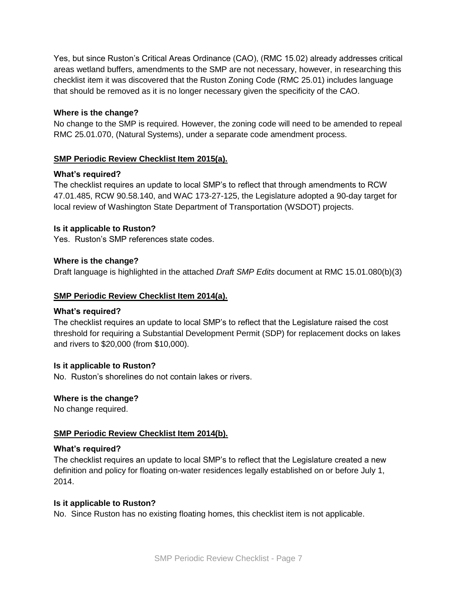Yes, but since Ruston's Critical Areas Ordinance (CAO), (RMC 15.02) already addresses critical areas wetland buffers, amendments to the SMP are not necessary, however, in researching this checklist item it was discovered that the Ruston Zoning Code (RMC 25.01) includes language that should be removed as it is no longer necessary given the specificity of the CAO.

# **Where is the change?**

No change to the SMP is required. However, the zoning code will need to be amended to repeal RMC 25.01.070, (Natural Systems), under a separate code amendment process.

# **SMP Periodic Review Checklist Item 2015(a).**

# **What's required?**

The checklist requires an update to local SMP's to reflect that through amendments to RCW 47.01.485, RCW 90.58.140, and WAC 173-27-125, the Legislature adopted a 90-day target for local review of Washington State Department of Transportation (WSDOT) projects.

# **Is it applicable to Ruston?**

Yes. Ruston's SMP references state codes.

# **Where is the change?**

Draft language is highlighted in the attached *Draft SMP Edits* document at RMC 15.01.080(b)(3)

# **SMP Periodic Review Checklist Item 2014(a).**

# **What's required?**

The checklist requires an update to local SMP's to reflect that the Legislature raised the cost threshold for requiring a Substantial Development Permit (SDP) for replacement docks on lakes and rivers to \$20,000 (from \$10,000).

# **Is it applicable to Ruston?**

No. Ruston's shorelines do not contain lakes or rivers.

# **Where is the change?**

No change required.

# **SMP Periodic Review Checklist Item 2014(b).**

# **What's required?**

The checklist requires an update to local SMP's to reflect that the Legislature created a new definition and policy for floating on-water residences legally established on or before July 1, 2014.

# **Is it applicable to Ruston?**

No. Since Ruston has no existing floating homes, this checklist item is not applicable.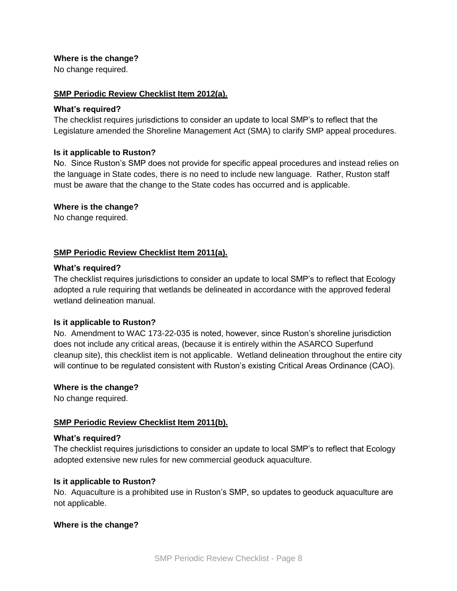# **Where is the change?**

No change required.

#### **SMP Periodic Review Checklist Item 2012(a).**

#### **What's required?**

The checklist requires jurisdictions to consider an update to local SMP's to reflect that the Legislature amended the Shoreline Management Act (SMA) to clarify SMP appeal procedures.

#### **Is it applicable to Ruston?**

No. Since Ruston's SMP does not provide for specific appeal procedures and instead relies on the language in State codes, there is no need to include new language. Rather, Ruston staff must be aware that the change to the State codes has occurred and is applicable.

#### **Where is the change?**

No change required.

# **SMP Periodic Review Checklist Item 2011(a).**

#### **What's required?**

The checklist requires jurisdictions to consider an update to local SMP's to reflect that Ecology adopted a rule requiring that wetlands be delineated in accordance with the approved federal wetland delineation manual.

#### **Is it applicable to Ruston?**

No. Amendment to WAC 173-22-035 is noted, however, since Ruston's shoreline jurisdiction does not include any critical areas, (because it is entirely within the ASARCO Superfund cleanup site), this checklist item is not applicable. Wetland delineation throughout the entire city will continue to be regulated consistent with Ruston's existing Critical Areas Ordinance (CAO).

#### **Where is the change?**

No change required.

# **SMP Periodic Review Checklist Item 2011(b).**

#### **What's required?**

The checklist requires jurisdictions to consider an update to local SMP's to reflect that Ecology adopted extensive new rules for new commercial geoduck aquaculture.

#### **Is it applicable to Ruston?**

No. Aquaculture is a prohibited use in Ruston's SMP, so updates to geoduck aquaculture are not applicable.

# **Where is the change?**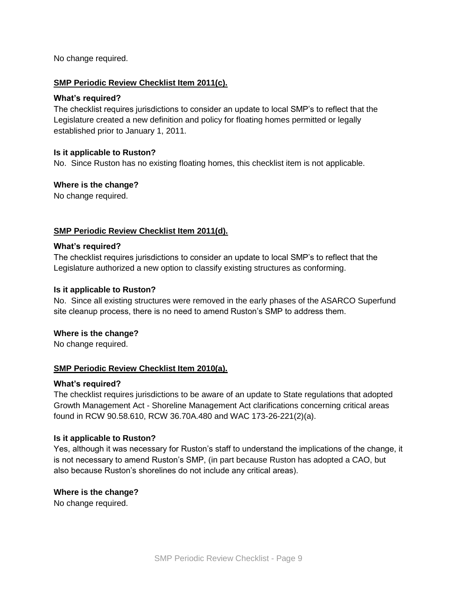No change required.

### **SMP Periodic Review Checklist Item 2011(c).**

#### **What's required?**

The checklist requires jurisdictions to consider an update to local SMP's to reflect that the Legislature created a new definition and policy for floating homes permitted or legally established prior to January 1, 2011.

#### **Is it applicable to Ruston?**

No. Since Ruston has no existing floating homes, this checklist item is not applicable.

#### **Where is the change?**

No change required.

#### **SMP Periodic Review Checklist Item 2011(d).**

#### **What's required?**

The checklist requires jurisdictions to consider an update to local SMP's to reflect that the Legislature authorized a new option to classify existing structures as conforming.

#### **Is it applicable to Ruston?**

No. Since all existing structures were removed in the early phases of the ASARCO Superfund site cleanup process, there is no need to amend Ruston's SMP to address them.

#### **Where is the change?**

No change required.

# **SMP Periodic Review Checklist Item 2010(a).**

#### **What's required?**

The checklist requires jurisdictions to be aware of an update to State regulations that adopted Growth Management Act - Shoreline Management Act clarifications concerning critical areas found in RCW 90.58.610, RCW 36.70A.480 and WAC 173-26-221(2)(a).

#### **Is it applicable to Ruston?**

Yes, although it was necessary for Ruston's staff to understand the implications of the change, it is not necessary to amend Ruston's SMP, (in part because Ruston has adopted a CAO, but also because Ruston's shorelines do not include any critical areas).

#### **Where is the change?**

No change required.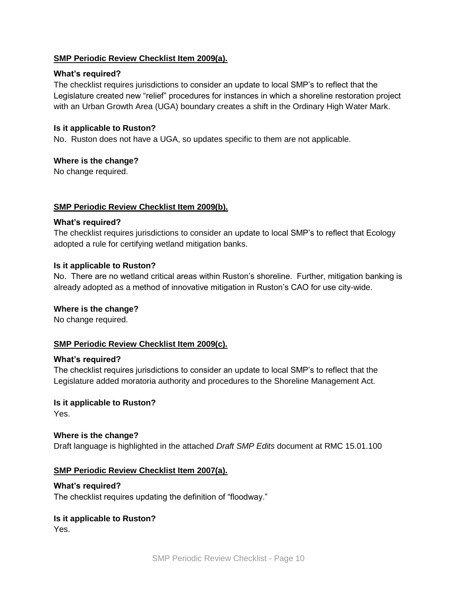# **SMP Periodic Review Checklist Item 2009(a).**

# **What's required?**

The checklist requires jurisdictions to consider an update to local SMP's to reflect that the Legislature created new "relief" procedures for instances in which a shoreline restoration project with an Urban Growth Area (UGA) boundary creates a shift in the Ordinary High Water Mark.

# **Is it applicable to Ruston?**

No. Ruston does not have a UGA, so updates specific to them are not applicable.

# **Where is the change?**

No change required.

# **SMP Periodic Review Checklist Item 2009(b).**

# **What's required?**

The checklist requires jurisdictions to consider an update to local SMP's to reflect that Ecology adopted a rule for certifying wetland mitigation banks.

# **Is it applicable to Ruston?**

No. There are no wetland critical areas within Ruston's shoreline. Further, mitigation banking is already adopted as a method of innovative mitigation in Ruston's CAO for use city-wide.

# **Where is the change?**

No change required.

# **SMP Periodic Review Checklist Item 2009(c).**

#### **What's required?**

The checklist requires jurisdictions to consider an update to local SMP's to reflect that the Legislature added moratoria authority and procedures to the Shoreline Management Act.

#### **Is it applicable to Ruston?**

Yes.

# **Where is the change?**

Draft language is highlighted in the attached *Draft SMP Edits* document at RMC 15.01.100

# **SMP Periodic Review Checklist Item 2007(a).**

#### **What's required?**

The checklist requires updating the definition of "floodway."

# **Is it applicable to Ruston?**

Yes.